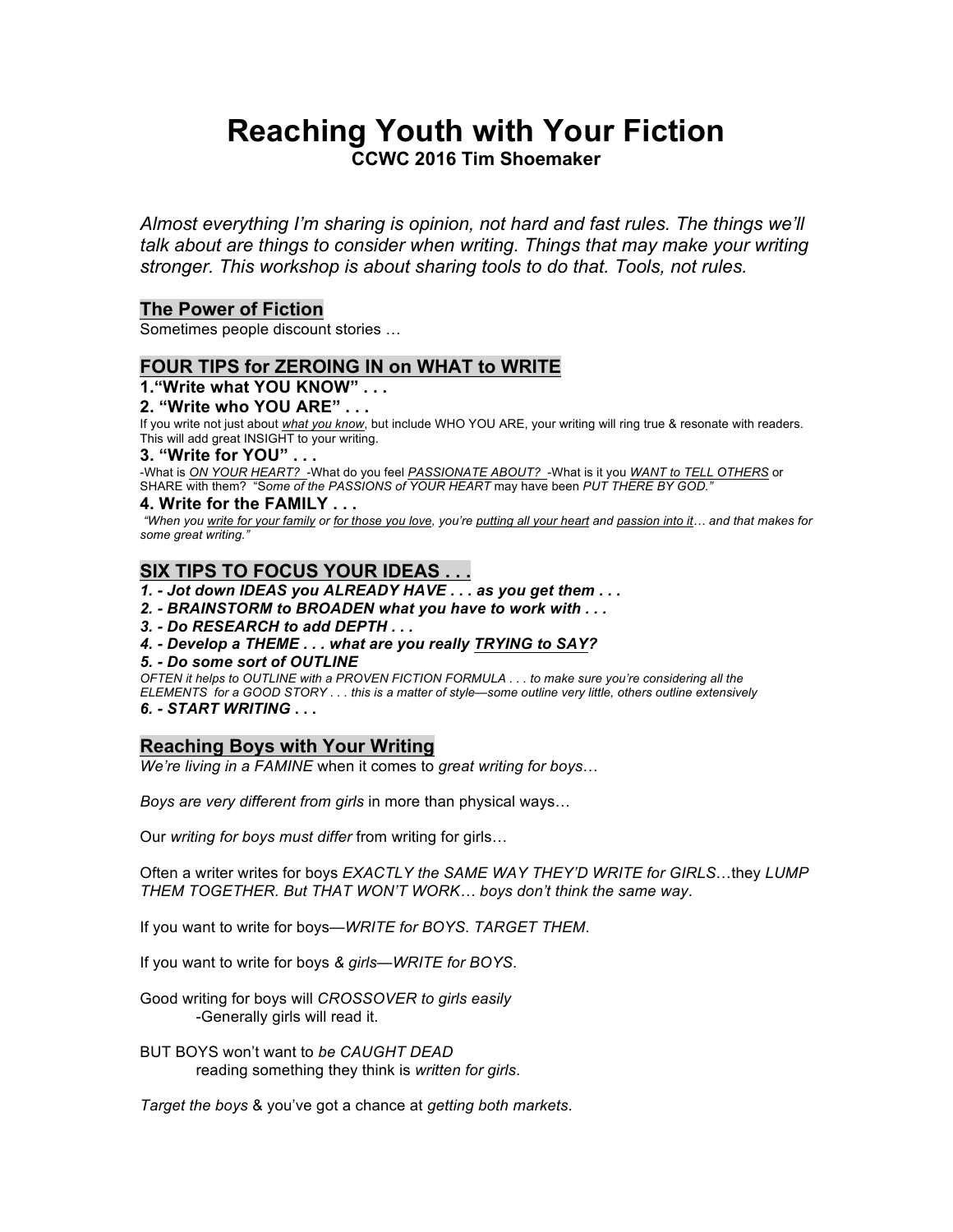# **Reaching Youth with Your Fiction CCWC 2016 Tim Shoemaker**

*Almost everything I'm sharing is opinion, not hard and fast rules. The things we'll talk about are things to consider when writing. Things that may make your writing stronger. This workshop is about sharing tools to do that. Tools, not rules.*

## **The Power of Fiction**

Sometimes people discount stories …

## **FOUR TIPS for ZEROING IN on WHAT to WRITE**

## **1."Write what YOU KNOW" . . .**

## **2. "Write who YOU ARE" . . .**

If you write not just about *what you know*, but include WHO YOU ARE, your writing will ring true & resonate with readers. This will add great INSIGHT to your writing.

#### **3. "Write for YOU" . . .**

-What is *ON YOUR HEART?* -What do you feel *PASSIONATE ABOUT?* -What is it you *WANT to TELL OTHERS* or SHARE with them?"S*ome of the PASSIONS of YOUR HEART* may have been *PUT THERE BY GOD."*

## **4. Write for the FAMILY . . .**

*"When you write for your family or for those you love, you're putting all your heart and passion into it… and that makes for some great writing."*

## **SIX TIPS TO FOCUS YOUR IDEAS . . .**

*1. - Jot down IDEAS you ALREADY HAVE . . . as you get them . . .*

- *2. - BRAINSTORM to BROADEN what you have to work with . . .*
- *3. - Do RESEARCH to add DEPTH . . .*
- *4. - Develop a THEME . . . what are you really TRYING to SAY?*
- *5. - Do some sort of OUTLINE*

*OFTEN it helps to OUTLINE with a PROVEN FICTION FORMULA . . . to make sure you're considering all the ELEMENTS for a GOOD STORY . . . this is a matter of style—some outline very little, others outline extensively*

*6. - START WRITING* **. . .** 

## **Reaching Boys with Your Writing**

*We're living in a FAMINE* when it comes to *great writing for boys*…

*Boys are very different from girls* in more than physical ways…

Our *writing for boys must differ* from writing for girls…

Often a writer writes for boys *EXACTLY the SAME WAY THEY'D WRITE for GIRLS*…they *LUMP THEM TOGETHER. But THAT WON'T WORK… boys don't think the same way*.

If you want to write for boys—*WRITE for BOYS*. *TARGET THEM*.

If you want to write for boys *& girls*—*WRITE for BOYS*.

Good writing for boys will *CROSSOVER to girls easily* -Generally girls will read it.

BUT BOYS won't want to *be CAUGHT DEAD* reading something they think is *written for girls*.

*Target the boys* & you've got a chance at *getting both markets*.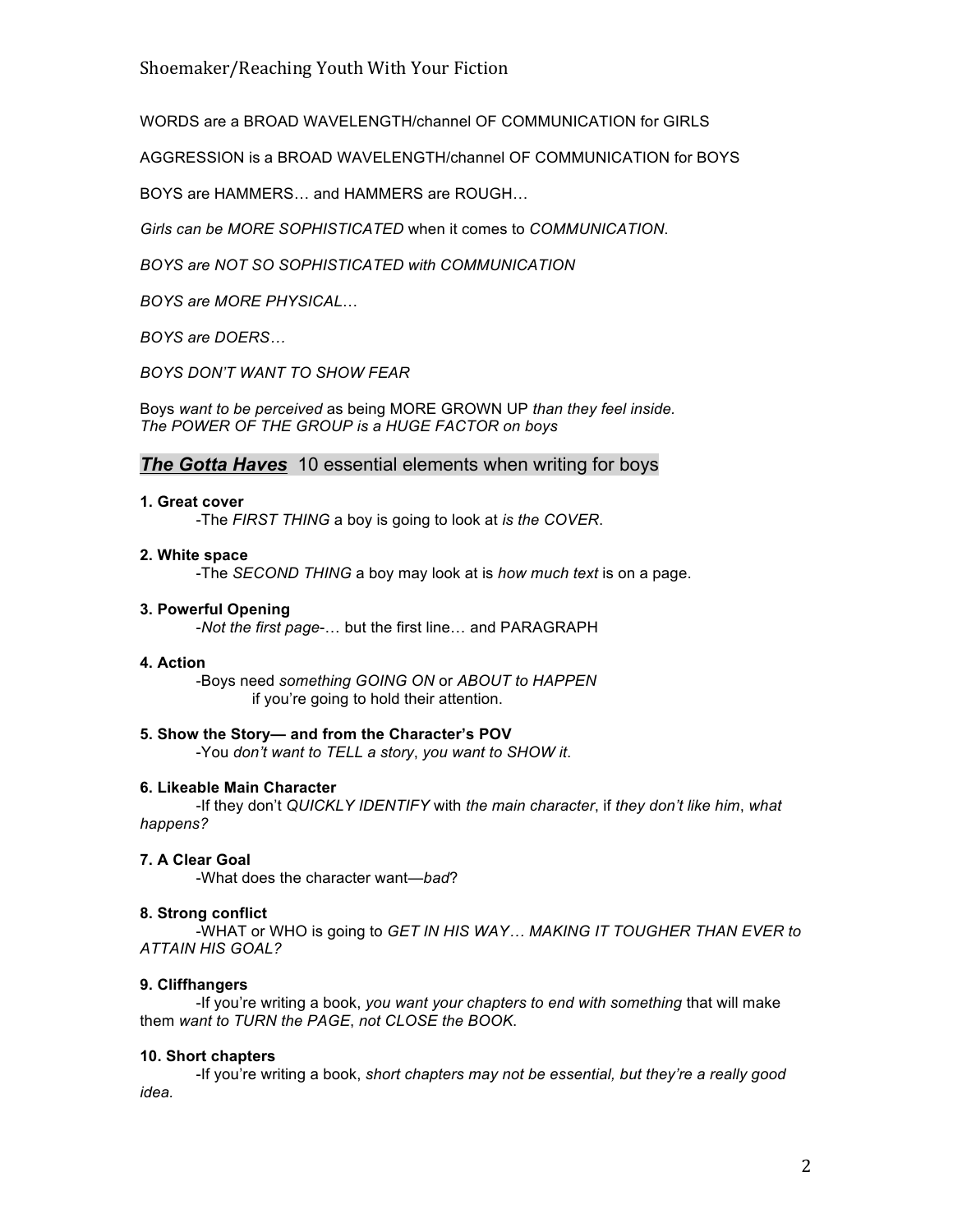WORDS are a BROAD WAVELENGTH/channel OF COMMUNICATION for GIRLS

AGGRESSION is a BROAD WAVELENGTH/channel OF COMMUNICATION for BOYS

BOYS are HAMMERS… and HAMMERS are ROUGH…

*Girls can be MORE SOPHISTICATED* when it comes to *COMMUNICATION*.

*BOYS are NOT SO SOPHISTICATED with COMMUNICATION*

*BOYS are MORE PHYSICAL*…

*BOYS are DOERS…*

*BOYS DON'T WANT TO SHOW FEAR*

Boys *want to be perceived* as being MORE GROWN UP *than they feel inside. The POWER OF THE GROUP is a HUGE FACTOR on boys*

## *The Gotta Haves* 10 essential elements when writing for boys

## **1. Great cover**

-The *FIRST THING* a boy is going to look at *is the COVER*.

## **2. White space**

-The *SECOND THING* a boy may look at is *how much text* is on a page.

### **3. Powerful Opening**

-*Not the first page*-… but the first line… and PARAGRAPH

### **4. Action**

-Boys need *something GOING ON* or *ABOUT to HAPPEN* if you're going to hold their attention.

# **5. Show the Story— and from the Character's POV**

-You *don't want to TELL a story*, *you want to SHOW it*.

## **6. Likeable Main Character**

-If they don't *QUICKLY IDENTIFY* with *the main character*, if *they don't like him*, *what happens?* 

## **7. A Clear Goal**

-What does the character want—*bad*?

## **8. Strong conflict**

-WHAT or WHO is going to *GET IN HIS WAY… MAKING IT TOUGHER THAN EVER to ATTAIN HIS GOAL?*

## **9. Cliffhangers**

-If you're writing a book, *you want your chapters to end with something* that will make them *want to TURN the PAGE*, *not CLOSE the BOOK*.

## **10. Short chapters**

-If you're writing a book, *short chapters may not be essential, but they're a really good idea.*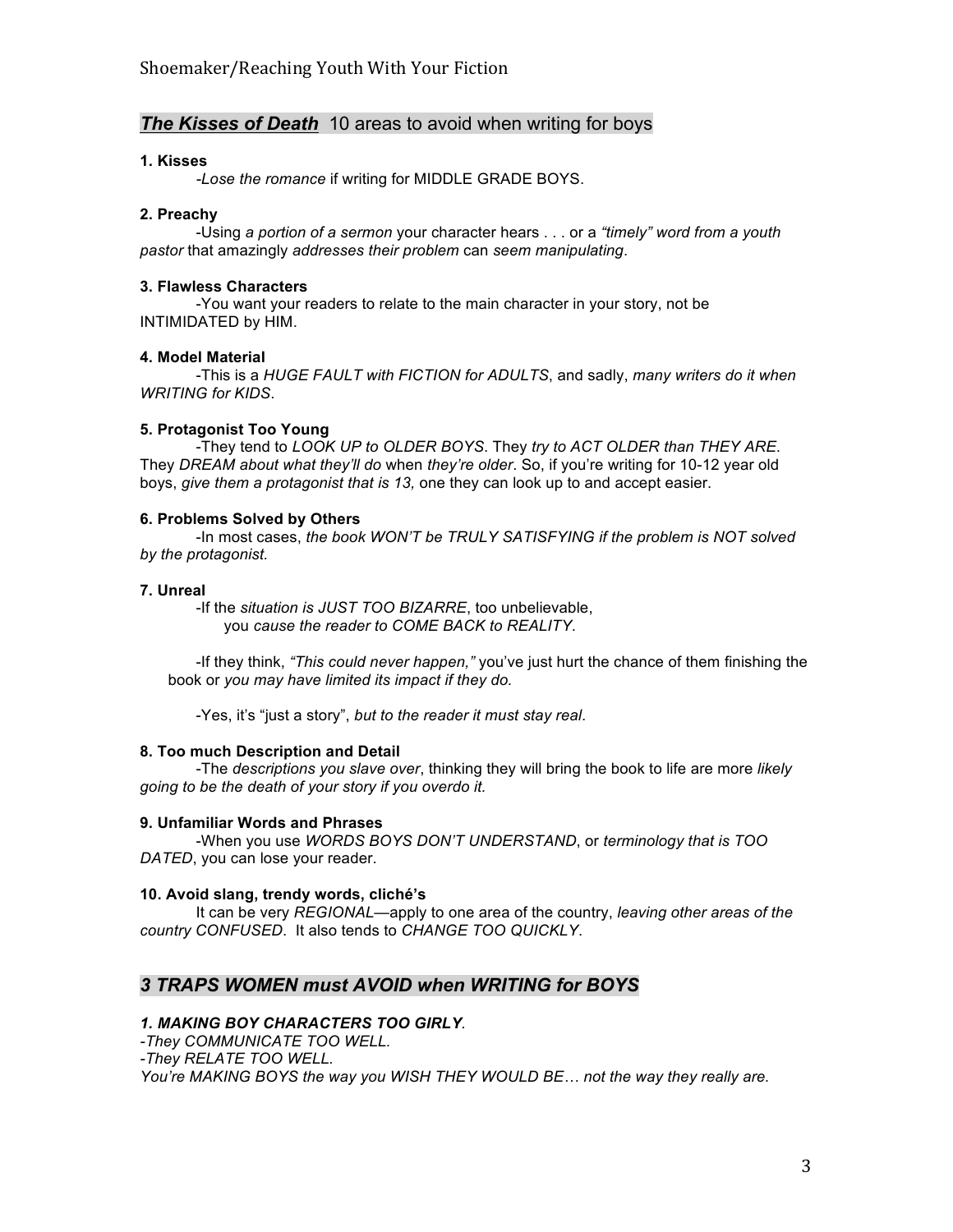## *The Kisses of Death* 10 areas to avoid when writing for boys

## **1. Kisses**

*-Lose the romance* if writing for MIDDLE GRADE BOYS.

## **2. Preachy**

-Using *a portion of a sermon* your character hears . . . or a *"timely" word from a youth pastor* that amazingly *addresses their problem* can *seem manipulating*.

## **3. Flawless Characters**

-You want your readers to relate to the main character in your story, not be INTIMIDATED by HIM.

## **4. Model Material**

-This is a *HUGE FAULT with FICTION for ADULTS*, and sadly, *many writers do it when WRITING for KIDS*.

## **5. Protagonist Too Young**

-They tend to *LOOK UP to OLDER BOYS*. They *try to ACT OLDER than THEY ARE*. They *DREAM about what they'll do* when *they're older*. So, if you're writing for 10-12 year old boys, *give them a protagonist that is 13,* one they can look up to and accept easier.

## **6. Problems Solved by Others**

-In most cases, *the book WON'T be TRULY SATISFYING if the problem is NOT solved by the protagonist.* 

## **7. Unreal**

-If the *situation is JUST TOO BIZARRE*, too unbelievable, you *cause the reader to COME BACK to REALITY*.

-If they think, *"This could never happen,"* you've just hurt the chance of them finishing the book or *you may have limited its impact if they do.*

-Yes, it's "just a story", *but to the reader it must stay real*.

### **8. Too much Description and Detail**

-The *descriptions you slave over*, thinking they will bring the book to life are more *likely going to be the death of your story if you overdo it.* 

### **9. Unfamiliar Words and Phrases**

-When you use *WORDS BOYS DON'T UNDERSTAND*, or *terminology that is TOO DATED*, you can lose your reader.

### **10. Avoid slang, trendy words, cliché's**

It can be very *REGIONAL*—apply to one area of the country, *leaving other areas of the country CONFUSED*. It also tends to *CHANGE TOO QUICKLY*.

## *3 TRAPS WOMEN must AVOID when WRITING for BOYS*

## *1. MAKING BOY CHARACTERS TOO GIRLY.*

*-They COMMUNICATE TOO WELL. -They RELATE TOO WELL. You're MAKING BOYS the way you WISH THEY WOULD BE… not the way they really are.*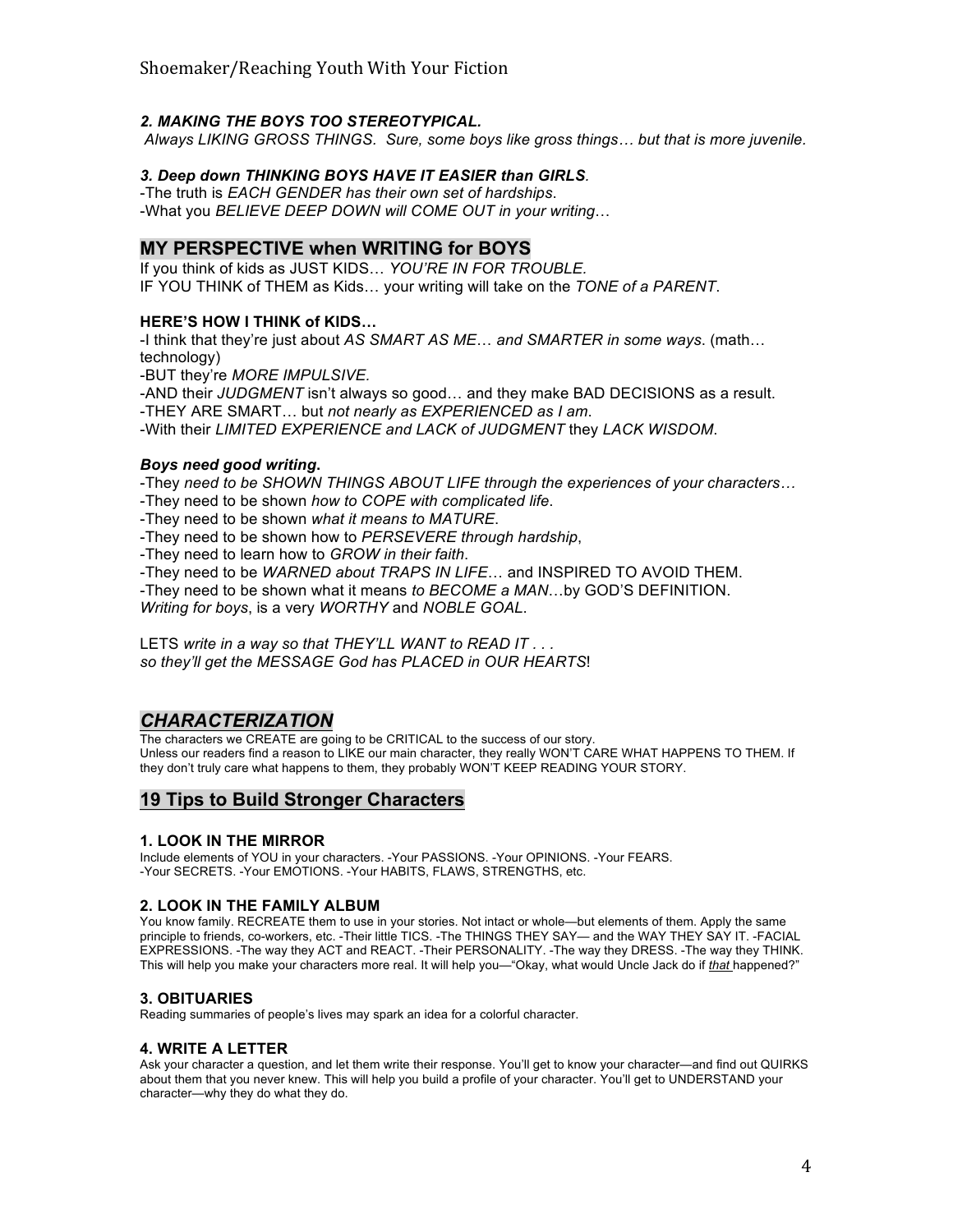## *2. MAKING THE BOYS TOO STEREOTYPICAL.*

*Always LIKING GROSS THINGS. Sure, some boys like gross things… but that is more juvenile.*

## *3. Deep down THINKING BOYS HAVE IT EASIER than GIRLS.*

-The truth is *EACH GENDER has their own set of hardships*. -What you *BELIEVE DEEP DOWN will COME OUT in your writing*…

## **MY PERSPECTIVE when WRITING for BOYS**

If you think of kids as JUST KIDS… *YOU'RE IN FOR TROUBLE.* IF YOU THINK of THEM as Kids… your writing will take on the *TONE of a PARENT*.

### **HERE'S HOW I THINK of KIDS…**

-I think that they're just about *AS SMART AS ME*… *and SMARTER in some ways*. (math… technology)

-BUT they're *MORE IMPULSIVE.*

-AND their *JUDGMENT* isn't always so good… and they make BAD DECISIONS as a result. -THEY ARE SMART… but *not nearly as EXPERIENCED as I am*.

-With their *LIMITED EXPERIENCE and LACK of JUDGMENT* they *LACK WISDOM*.

## *Boys need good writing***.**

-They *need to be SHOWN THINGS ABOUT LIFE through the experiences of your characters…* -They need to be shown *how to COPE with complicated life*.

-They need to be shown *what it means to MATURE*.

-They need to be shown how to *PERSEVERE through hardship*,

-They need to learn how to *GROW in their faith*.

-They need to be *WARNED about TRAPS IN LIFE*… and INSPIRED TO AVOID THEM.

-They need to be shown what it means *to BECOME a MAN*…by GOD'S DEFINITION.

*Writing for boys*, is a very *WORTHY* and *NOBLE GOAL*.

LETS *write in a way so that THEY'LL WANT to READ IT . . . so they'll get the MESSAGE God has PLACED in OUR HEARTS*!

## *CHARACTERIZATION*

The characters we CREATE are going to be CRITICAL to the success of our story. Unless our readers find a reason to LIKE our main character, they really WON'T CARE WHAT HAPPENS TO THEM. If they don't truly care what happens to them, they probably WON'T KEEP READING YOUR STORY.

## **19 Tips to Build Stronger Characters**

### **1. LOOK IN THE MIRROR**

Include elements of YOU in your characters. -Your PASSIONS. -Your OPINIONS. -Your FEARS. -Your SECRETS. -Your EMOTIONS. -Your HABITS, FLAWS, STRENGTHS, etc.

### **2. LOOK IN THE FAMILY ALBUM**

You know family. RECREATE them to use in your stories. Not intact or whole—but elements of them. Apply the same principle to friends, co-workers, etc. -Their little TICS. -The THINGS THEY SAY— and the WAY THEY SAY IT. -FACIAL EXPRESSIONS. -The way they ACT and REACT. -Their PERSONALITY. -The way they DRESS. -The way they THINK. This will help you make your characters more real. It will help you—"Okay, what would Uncle Jack do if *that* happened?"

### **3. OBITUARIES**

Reading summaries of people's lives may spark an idea for a colorful character.

### **4. WRITE A LETTER**

Ask your character a question, and let them write their response. You'll get to know your character—and find out QUIRKS about them that you never knew. This will help you build a profile of your character. You'll get to UNDERSTAND your character—why they do what they do.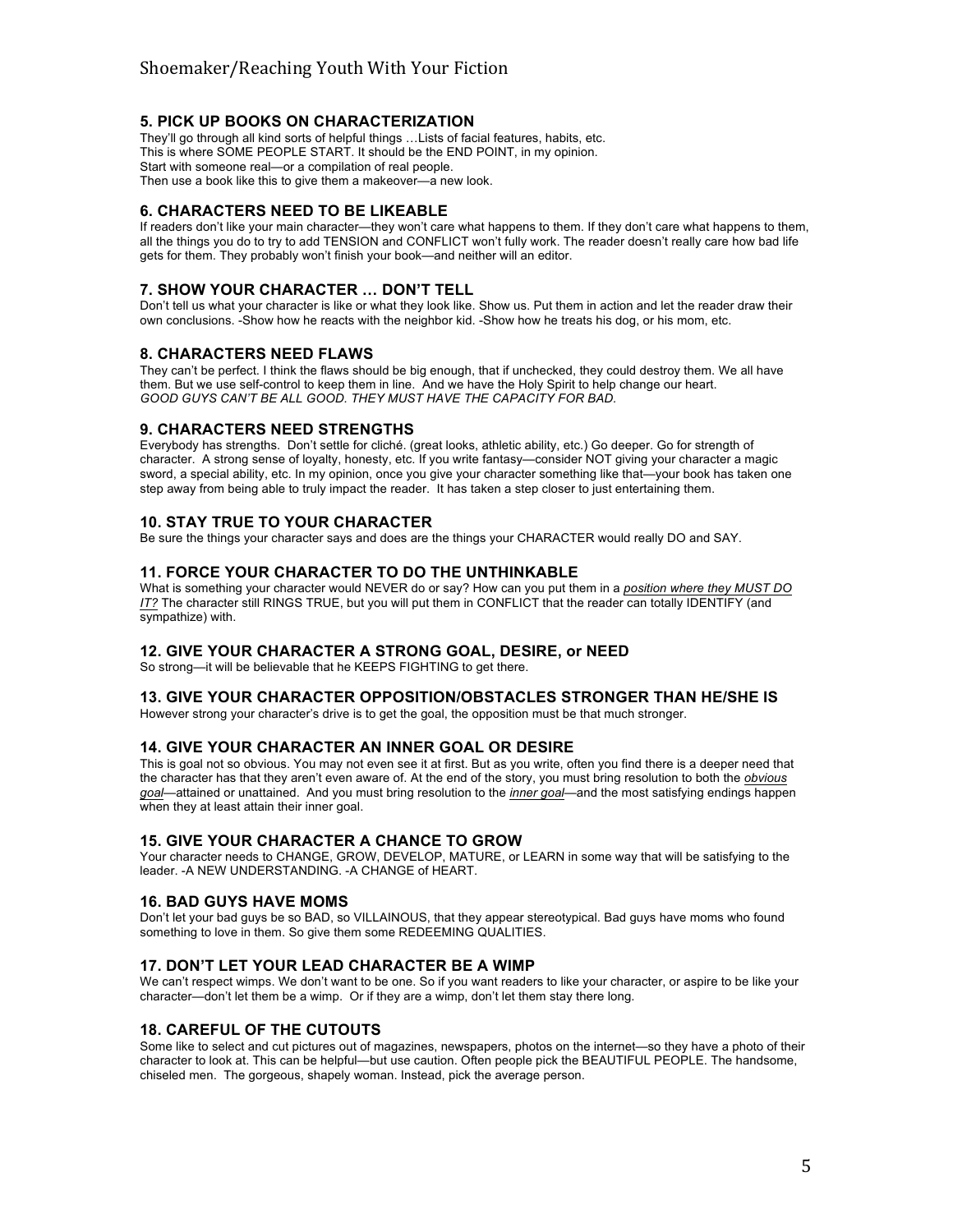## **5. PICK UP BOOKS ON CHARACTERIZATION**

They'll go through all kind sorts of helpful things …Lists of facial features, habits, etc. This is where SOME PEOPLE START. It should be the END POINT, in my opinion. Start with someone real—or a compilation of real people. Then use a book like this to give them a makeover—a new look.

#### **6. CHARACTERS NEED TO BE LIKEABLE**

If readers don't like your main character—they won't care what happens to them. If they don't care what happens to them, all the things you do to try to add TENSION and CONFLICT won't fully work. The reader doesn't really care how bad life gets for them. They probably won't finish your book—and neither will an editor.

#### **7. SHOW YOUR CHARACTER … DON'T TELL**

Don't tell us what your character is like or what they look like. Show us. Put them in action and let the reader draw their own conclusions. -Show how he reacts with the neighbor kid. -Show how he treats his dog, or his mom, etc.

#### **8. CHARACTERS NEED FLAWS**

They can't be perfect. I think the flaws should be big enough, that if unchecked, they could destroy them. We all have them. But we use self-control to keep them in line. And we have the Holy Spirit to help change our heart. *GOOD GUYS CAN'T BE ALL GOOD. THEY MUST HAVE THE CAPACITY FOR BAD.*

#### **9. CHARACTERS NEED STRENGTHS**

Everybody has strengths. Don't settle for cliché. (great looks, athletic ability, etc.) Go deeper. Go for strength of character. A strong sense of loyalty, honesty, etc. If you write fantasy—consider NOT giving your character a magic sword, a special ability, etc. In my opinion, once you give your character something like that—your book has taken one step away from being able to truly impact the reader. It has taken a step closer to just entertaining them.

#### **10. STAY TRUE TO YOUR CHARACTER**

Be sure the things your character says and does are the things your CHARACTER would really DO and SAY.

#### **11. FORCE YOUR CHARACTER TO DO THE UNTHINKABLE**

What is something your character would NEVER do or say? How can you put them in a *position where they MUST DO IT?* The character still RINGS TRUE, but you will put them in CONFLICT that the reader can totally IDENTIFY (and sympathize) with.

#### **12. GIVE YOUR CHARACTER A STRONG GOAL, DESIRE, or NEED**

So strong—it will be believable that he KEEPS FIGHTING to get there.

#### **13. GIVE YOUR CHARACTER OPPOSITION/OBSTACLES STRONGER THAN HE/SHE IS**

However strong your character's drive is to get the goal, the opposition must be that much stronger.

#### **14. GIVE YOUR CHARACTER AN INNER GOAL OR DESIRE**

This is goal not so obvious. You may not even see it at first. But as you write, often you find there is a deeper need that the character has that they aren't even aware of. At the end of the story, you must bring resolution to both the *obvious goal*—attained or unattained. And you must bring resolution to the *inner goal*—and the most satisfying endings happen when they at least attain their inner goal.

#### **15. GIVE YOUR CHARACTER A CHANCE TO GROW**

Your character needs to CHANGE, GROW, DEVELOP, MATURE, or LEARN in some way that will be satisfying to the leader. -A NEW UNDERSTANDING. -A CHANGE of HEART.

#### **16. BAD GUYS HAVE MOMS**

Don't let your bad guys be so BAD, so VILLAINOUS, that they appear stereotypical. Bad guys have moms who found something to love in them. So give them some REDEEMING QUALITIES.

#### **17. DON'T LET YOUR LEAD CHARACTER BE A WIMP**

We can't respect wimps. We don't want to be one. So if you want readers to like your character, or aspire to be like your character—don't let them be a wimp. Or if they are a wimp, don't let them stay there long.

### **18. CAREFUL OF THE CUTOUTS**

Some like to select and cut pictures out of magazines, newspapers, photos on the internet—so they have a photo of their character to look at. This can be helpful—but use caution. Often people pick the BEAUTIFUL PEOPLE. The handsome, chiseled men. The gorgeous, shapely woman. Instead, pick the average person.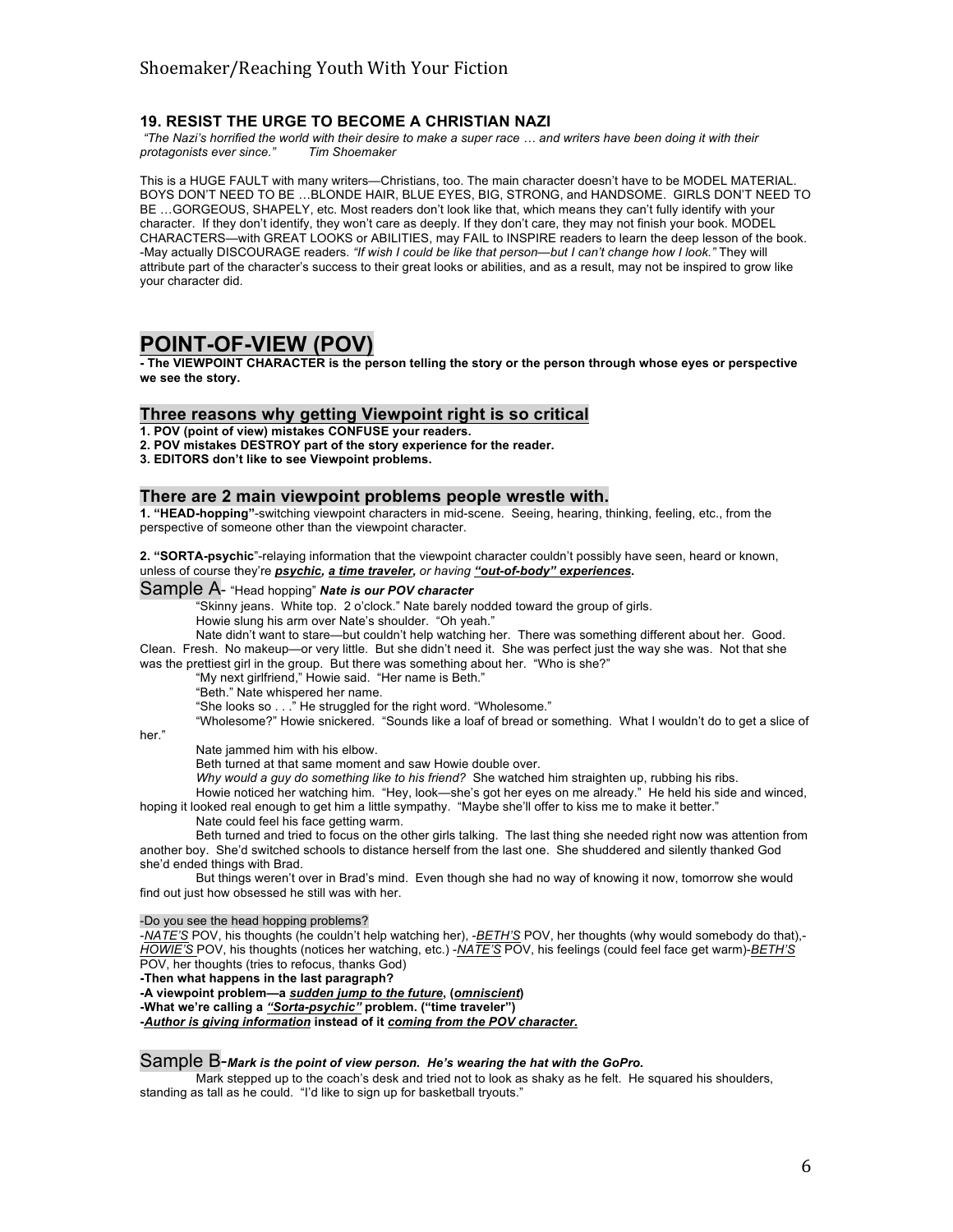### **19. RESIST THE URGE TO BECOME A CHRISTIAN NAZI**

*"The Nazi's horrified the world with their desire to make a super race … and writers have been doing it with their protagonists ever since."* 

This is a HUGE FAULT with many writers—Christians, too. The main character doesn't have to be MODEL MATERIAL. BOYS DON'T NEED TO BE …BLONDE HAIR, BLUE EYES, BIG, STRONG, and HANDSOME. GIRLS DON'T NEED TO BE …GORGEOUS, SHAPELY, etc. Most readers don't look like that, which means they can't fully identify with your character. If they don't identify, they won't care as deeply. If they don't care, they may not finish your book. MODEL CHARACTERS—with GREAT LOOKS or ABILITIES, may FAIL to INSPIRE readers to learn the deep lesson of the book. -May actually DISCOURAGE readers. *"If wish I could be like that person—but I can't change how I look."* They will attribute part of the character's success to their great looks or abilities, and as a result, may not be inspired to grow like your character did.

## **POINT-OF-VIEW (POV)**

**- The VIEWPOINT CHARACTER is the person telling the story or the person through whose eyes or perspective we see the story.** 

#### **Three reasons why getting Viewpoint right is so critical**

**1. POV (point of view) mistakes CONFUSE your readers.**

- **2. POV mistakes DESTROY part of the story experience for the reader.**
- **3. EDITORS don't like to see Viewpoint problems.**

#### **There are 2 main viewpoint problems people wrestle with.**

**1. "HEAD-hopping"**-switching viewpoint characters in mid-scene. Seeing, hearing, thinking, feeling, etc., from the perspective of someone other than the viewpoint character.

**2. "SORTA-psychic**"-relaying information that the viewpoint character couldn't possibly have seen, heard or known, unless of course they're *psychic, a time traveler, or having "out-of-body" experiences.* 

## Sample A- "Head hopping" *Nate is our POV character*

"Skinny jeans. White top. 2 o'clock." Nate barely nodded toward the group of girls.

Howie slung his arm over Nate's shoulder. "Oh yeah."

Nate didn't want to stare—but couldn't help watching her. There was something different about her. Good. Clean. Fresh. No makeup—or very little. But she didn't need it. She was perfect just the way she was. Not that she was the prettiest girl in the group. But there was something about her. "Who is she?"

"My next girlfriend," Howie said. "Her name is Beth."

"Beth." Nate whispered her name.

"She looks so . . ." He struggled for the right word. "Wholesome."

"Wholesome?" Howie snickered. "Sounds like a loaf of bread or something. What I wouldn't do to get a slice of

her."

Nate jammed him with his elbow.

Beth turned at that same moment and saw Howie double over.

*Why would a guy do something like to his friend?* She watched him straighten up, rubbing his ribs.

Howie noticed her watching him. "Hey, look—she's got her eyes on me already." He held his side and winced, hoping it looked real enough to get him a little sympathy. "Maybe she'll offer to kiss me to make it better."

Nate could feel his face getting warm.

Beth turned and tried to focus on the other girls talking. The last thing she needed right now was attention from another boy. She'd switched schools to distance herself from the last one. She shuddered and silently thanked God she'd ended things with Brad.

But things weren't over in Brad's mind. Even though she had no way of knowing it now, tomorrow she would find out just how obsessed he still was with her.

-Do you see the head hopping problems?

-*NATE'S* POV, his thoughts (he couldn't help watching her), -*BETH'S* POV, her thoughts (why would somebody do that),- *HOWIE'S* POV, his thoughts (notices her watching, etc.) -*NATE'S* POV, his feelings (could feel face get warm)-*BETH'S* POV, her thoughts (tries to refocus, thanks God)

**-Then what happens in the last paragraph?**

#### **-A viewpoint problem—a** *sudden jump to the future***, (***omniscient***)**

**-What we're calling a** *"Sorta-psychic"* **problem. ("time traveler")**

**-***Author is giving information* **instead of it** *coming from the POV character.* 

#### Sample B-*Mark is the point of view person. He's wearing the hat with the GoPro.*

Mark stepped up to the coach's desk and tried not to look as shaky as he felt. He squared his shoulders, standing as tall as he could. "I'd like to sign up for basketball tryouts."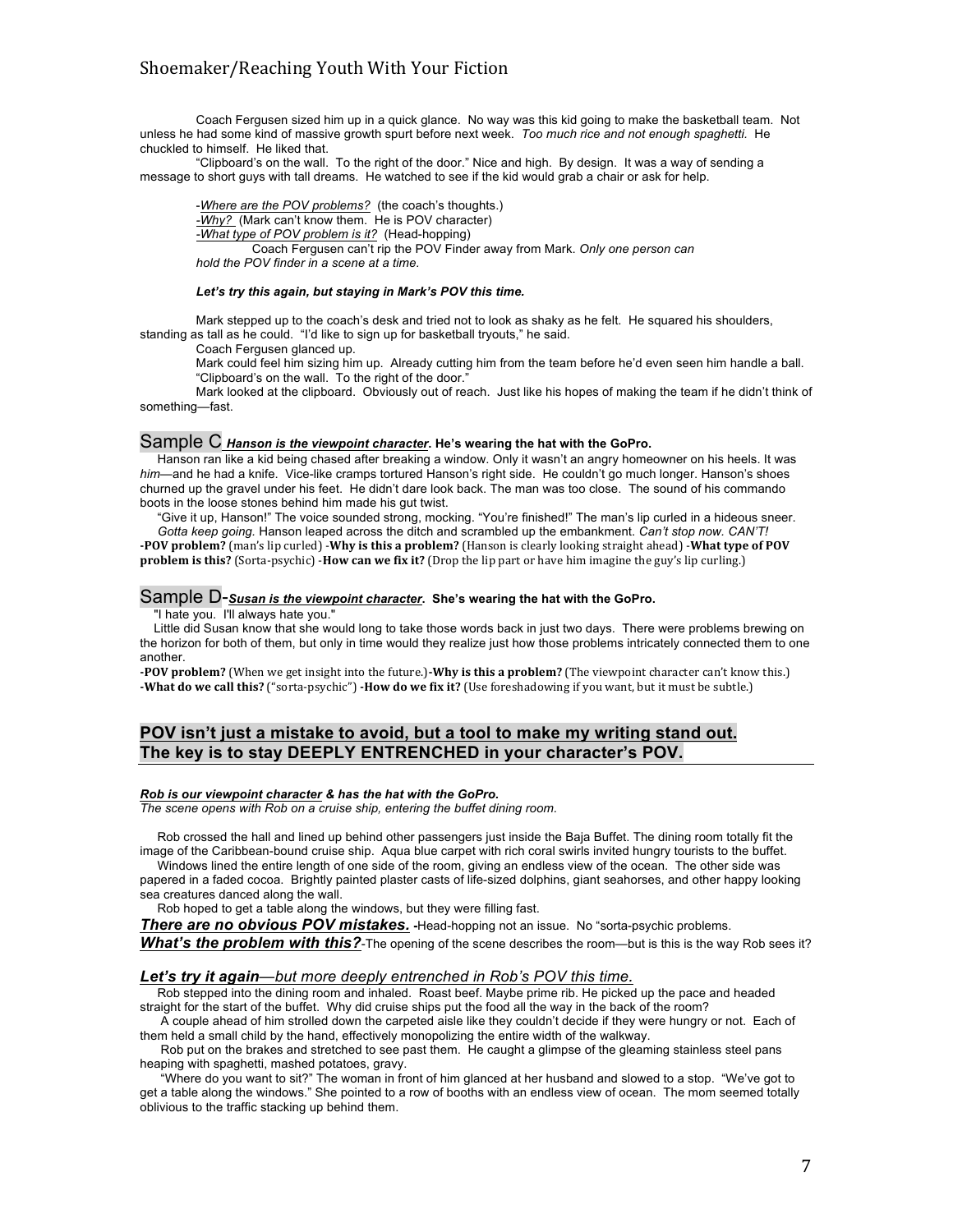Coach Fergusen sized him up in a quick glance. No way was this kid going to make the basketball team. Not unless he had some kind of massive growth spurt before next week. *Too much rice and not enough spaghetti.* He chuckled to himself. He liked that.

"Clipboard's on the wall. To the right of the door." Nice and high. By design. It was a way of sending a message to short guys with tall dreams. He watched to see if the kid would grab a chair or ask for help.

-*Where are the POV problems?* (the coach's thoughts.) *-Why?* (Mark can't know them. He is POV character) *-What type of POV problem is it?* (Head-hopping) Coach Fergusen can't rip the POV Finder away from Mark. *Only one person can hold the POV finder in a scene at a time.*

#### *Let's try this again, but staying in Mark's POV this time.*

Mark stepped up to the coach's desk and tried not to look as shaky as he felt. He squared his shoulders, standing as tall as he could. "I'd like to sign up for basketball tryouts," he said.

Coach Fergusen glanced up.

Mark could feel him sizing him up. Already cutting him from the team before he'd even seen him handle a ball. "Clipboard's on the wall. To the right of the door."

Mark looked at the clipboard. Obviously out of reach. Just like his hopes of making the team if he didn't think of something—fast.

#### Sample C *Hanson is the viewpoint character***. He's wearing the hat with the GoPro.**

 Hanson ran like a kid being chased after breaking a window. Only it wasn't an angry homeowner on his heels. It was *him—*and he had a knife. Vice-like cramps tortured Hanson's right side. He couldn't go much longer. Hanson's shoes churned up the gravel under his feet. He didn't dare look back. The man was too close. The sound of his commando boots in the loose stones behind him made his gut twist.

 "Give it up, Hanson!" The voice sounded strong, mocking. "You're finished!" The man's lip curled in a hideous sneer.  *Gotta keep going.* Hanson leaped across the ditch and scrambled up the embankment. *Can't stop now. CAN'T!* **-POV** problem? (man's lip curled) -Why is this a problem? (Hanson is clearly looking straight ahead) -What type of POV

**problem is this?** (Sorta-psychic) -**How can we fix it?** (Drop the lip part or have him imagine the guy's lip curling.)

#### Sample D-*Susan is the viewpoint character***. She's wearing the hat with the GoPro.**

"I hate you. I'll always hate you."

 Little did Susan know that she would long to take those words back in just two days. There were problems brewing on the horizon for both of them, but only in time would they realize just how those problems intricately connected them to one another.

**-POV** problem? (When we get insight into the future.)-Why is this a problem? (The viewpoint character can't know this.) **-What do we call this?** ("sorta-psychic") **-How do we fix it?** (Use foreshadowing if you want, but it must be subtle.)

## **POV isn't just a mistake to avoid, but a tool to make my writing stand out. The key is to stay DEEPLY ENTRENCHED in your character's POV.**

#### *Rob is our viewpoint character & has the hat with the GoPro.*

*The scene opens with Rob on a cruise ship, entering the buffet dining room.*

 Rob crossed the hall and lined up behind other passengers just inside the Baja Buffet. The dining room totally fit the image of the Caribbean-bound cruise ship. Aqua blue carpet with rich coral swirls invited hungry tourists to the buffet.

 Windows lined the entire length of one side of the room, giving an endless view of the ocean. The other side was papered in a faded cocoa. Brightly painted plaster casts of life-sized dolphins, giant seahorses, and other happy looking sea creatures danced along the wall.

Rob hoped to get a table along the windows, but they were filling fast.

**There are no obvious POV mistakes. -**Head-hopping not an issue. No "sorta-psychic problems.

**What's the problem with this?**-The opening of the scene describes the room—but is this is the way Rob sees it?

#### *Let's try it again—but more deeply entrenched in Rob's POV this time.*

 Rob stepped into the dining room and inhaled. Roast beef. Maybe prime rib. He picked up the pace and headed straight for the start of the buffet. Why did cruise ships put the food all the way in the back of the room?

 A couple ahead of him strolled down the carpeted aisle like they couldn't decide if they were hungry or not. Each of them held a small child by the hand, effectively monopolizing the entire width of the walkway.

 Rob put on the brakes and stretched to see past them. He caught a glimpse of the gleaming stainless steel pans heaping with spaghetti, mashed potatoes, gravy.

 "Where do you want to sit?" The woman in front of him glanced at her husband and slowed to a stop. "We've got to get a table along the windows." She pointed to a row of booths with an endless view of ocean. The mom seemed totally oblivious to the traffic stacking up behind them.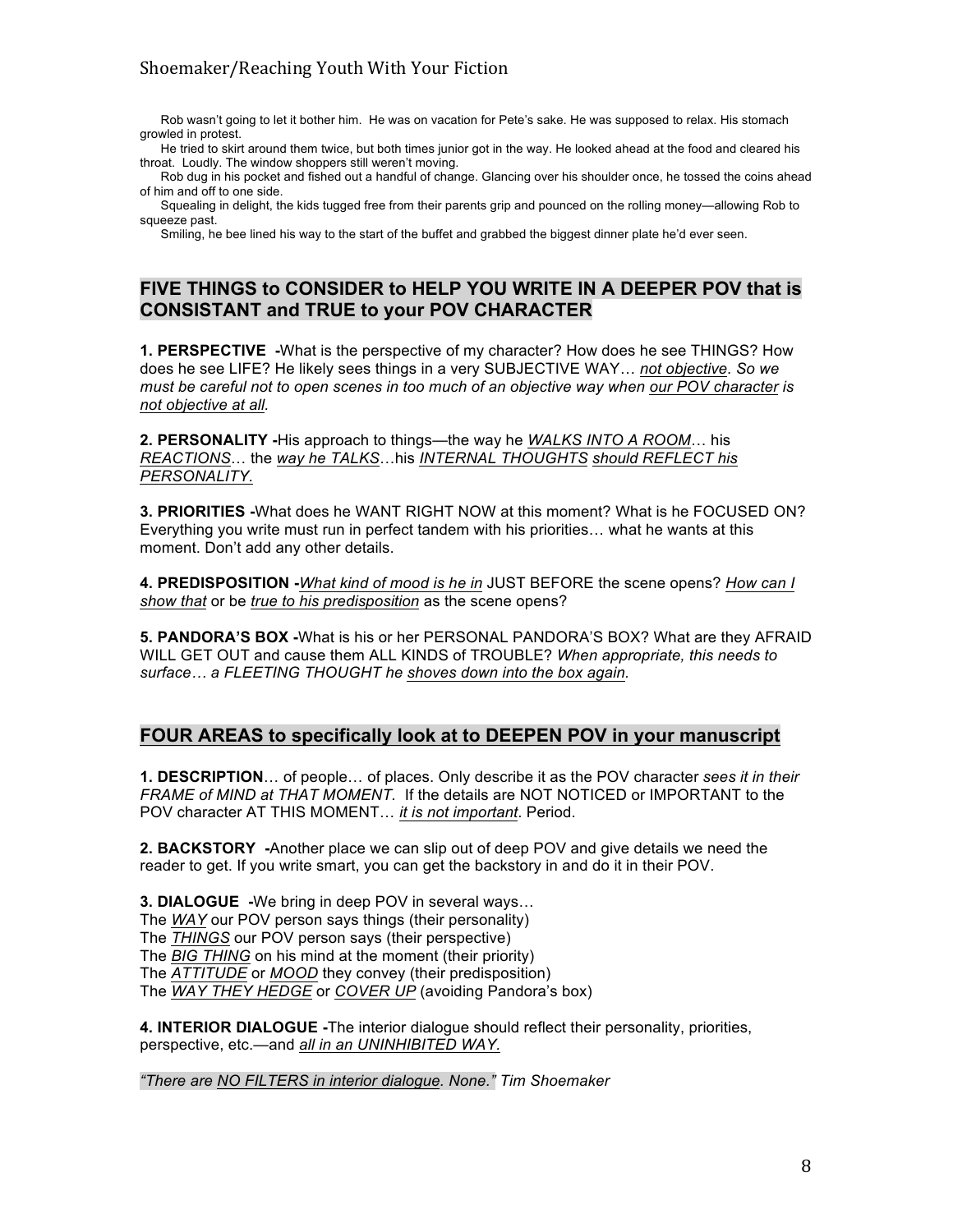Rob wasn't going to let it bother him. He was on vacation for Pete's sake. He was supposed to relax. His stomach growled in protest.

 He tried to skirt around them twice, but both times junior got in the way. He looked ahead at the food and cleared his throat. Loudly. The window shoppers still weren't moving.

 Rob dug in his pocket and fished out a handful of change. Glancing over his shoulder once, he tossed the coins ahead of him and off to one side.

 Squealing in delight, the kids tugged free from their parents grip and pounced on the rolling money—allowing Rob to squeeze past.

Smiling, he bee lined his way to the start of the buffet and grabbed the biggest dinner plate he'd ever seen.

## **FIVE THINGS to CONSIDER to HELP YOU WRITE IN A DEEPER POV that is CONSISTANT and TRUE to your POV CHARACTER**

**1. PERSPECTIVE -**What is the perspective of my character? How does he see THINGS? How does he see LIFE? He likely sees things in a very SUBJECTIVE WAY… *not objective*. *So we must be careful not to open scenes in too much of an objective way when our POV character is not objective at all.*

**2. PERSONALITY -**His approach to things—the way he *WALKS INTO A ROOM*… his *REACTIONS*… the *way he TALKS*…his *INTERNAL THOUGHTS should REFLECT his PERSONALITY.*

**3. PRIORITIES -**What does he WANT RIGHT NOW at this moment? What is he FOCUSED ON? Everything you write must run in perfect tandem with his priorities… what he wants at this moment. Don't add any other details.

**4. PREDISPOSITION -***What kind of mood is he in* JUST BEFORE the scene opens? *How can I show that* or be *true to his predisposition* as the scene opens?

**5. PANDORA'S BOX -**What is his or her PERSONAL PANDORA'S BOX? What are they AFRAID WILL GET OUT and cause them ALL KINDS of TROUBLE? *When appropriate, this needs to surface… a FLEETING THOUGHT he shoves down into the box again.*

## **FOUR AREAS to specifically look at to DEEPEN POV in your manuscript**

**1. DESCRIPTION**… of people… of places. Only describe it as the POV character *sees it in their FRAME of MIND at THAT MOMENT.* If the details are NOT NOTICED or IMPORTANT to the POV character AT THIS MOMENT… *it is not important*. Period.

**2. BACKSTORY -**Another place we can slip out of deep POV and give details we need the reader to get. If you write smart, you can get the backstory in and do it in their POV.

**3. DIALOGUE -**We bring in deep POV in several ways… The *WAY* our POV person says things (their personality) The *THINGS* our POV person says (their perspective) The *BIG THING* on his mind at the moment (their priority) The *ATTITUDE* or *MOOD* they convey (their predisposition) The *WAY THEY HEDGE* or *COVER UP* (avoiding Pandora's box)

**4. INTERIOR DIALOGUE -**The interior dialogue should reflect their personality, priorities, perspective, etc.—and *all in an UNINHIBITED WAY.*

*"There are NO FILTERS in interior dialogue. None." Tim Shoemaker*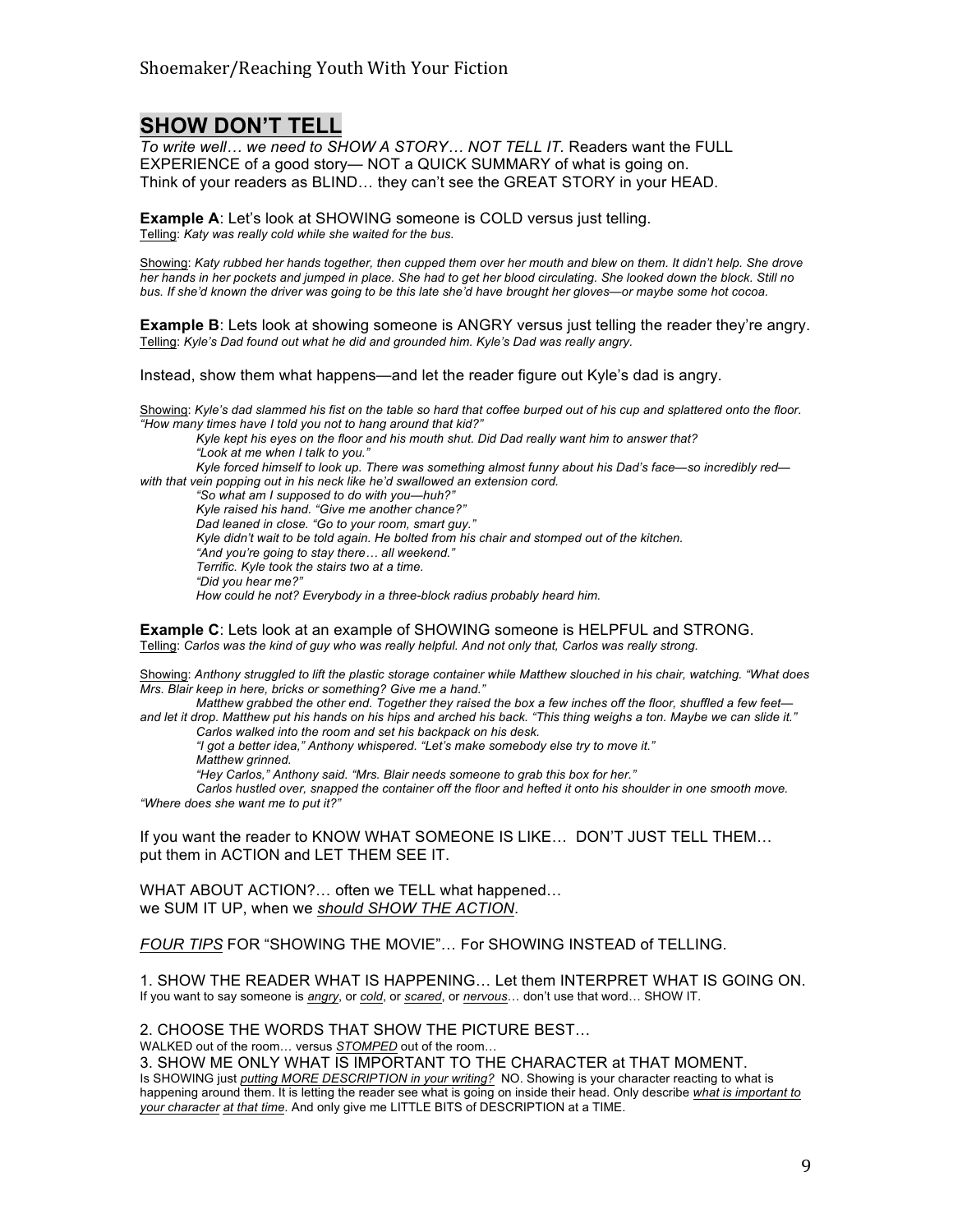## **SHOW DON'T TELL**

*To write well… we need to SHOW A STORY… NOT TELL IT.* Readers want the FULL EXPERIENCE of a good story— NOT a QUICK SUMMARY of what is going on. Think of your readers as BLIND… they can't see the GREAT STORY in your HEAD.

**Example A**: Let's look at SHOWING someone is COLD versus just telling. Telling: *Katy was really cold while she waited for the bus.*

Showing: *Katy rubbed her hands together, then cupped them over her mouth and blew on them. It didn't help. She drove her hands in her pockets and jumped in place. She had to get her blood circulating. She looked down the block. Still no bus. If she'd known the driver was going to be this late she'd have brought her gloves—or maybe some hot cocoa.*

**Example B**: Lets look at showing someone is ANGRY versus just telling the reader they're angry. Telling: *Kyle's Dad found out what he did and grounded him. Kyle's Dad was really angry.*

Instead, show them what happens—and let the reader figure out Kyle's dad is angry.

Showing: *Kyle's dad slammed his fist on the table so hard that coffee burped out of his cup and splattered onto the floor. "How many times have I told you not to hang around that kid?"* 

*Kyle kept his eyes on the floor and his mouth shut. Did Dad really want him to answer that? "Look at me when I talk to you."*

*Kyle forced himself to look up. There was something almost funny about his Dad's face—so incredibly red with that vein popping out in his neck like he'd swallowed an extension cord.*

*"So what am I supposed to do with you—huh?" Kyle raised his hand. "Give me another chance?" Dad leaned in close. "Go to your room, smart guy." Kyle didn't wait to be told again. He bolted from his chair and stomped out of the kitchen. "And you're going to stay there… all weekend." Terrific. Kyle took the stairs two at a time. "Did you hear me?"*

*How could he not? Everybody in a three-block radius probably heard him.*

**Example C**: Lets look at an example of SHOWING someone is HELPFUL and STRONG. Telling: *Carlos was the kind of guy who was really helpful. And not only that, Carlos was really strong.*

Showing: *Anthony struggled to lift the plastic storage container while Matthew slouched in his chair, watching. "What does Mrs. Blair keep in here, bricks or something? Give me a hand."*

*Matthew grabbed the other end. Together they raised the box a few inches off the floor, shuffled a few feet and let it drop. Matthew put his hands on his hips and arched his back. "This thing weighs a ton. Maybe we can slide it."*

*Carlos walked into the room and set his backpack on his desk.*

*"I got a better idea," Anthony whispered. "Let's make somebody else try to move it."*

*Matthew grinned.*

*"Hey Carlos," Anthony said. "Mrs. Blair needs someone to grab this box for her."*

*Carlos hustled over, snapped the container off the floor and hefted it onto his shoulder in one smooth move. "Where does she want me to put it?"*

If you want the reader to KNOW WHAT SOMEONE IS LIKE… DON'T JUST TELL THEM… put them in ACTION and LET THEM SEE IT.

WHAT ABOUT ACTION?… often we TELL what happened… we SUM IT UP, when we *should SHOW THE ACTION*.

*FOUR TIPS* FOR "SHOWING THE MOVIE"… For SHOWING INSTEAD of TELLING.

1. SHOW THE READER WHAT IS HAPPENING… Let them INTERPRET WHAT IS GOING ON. If you want to say someone is *angry*, or *cold*, or *scared*, or *nervous*… don't use that word… SHOW IT.

2. CHOOSE THE WORDS THAT SHOW THE PICTURE BEST… WALKED out of the room… versus *STOMPED* out of the room…

3. SHOW ME ONLY WHAT IS IMPORTANT TO THE CHARACTER at THAT MOMENT. Is SHOWING just *putting MORE DESCRIPTION in your writing?* NO. Showing is your character reacting to what is happening around them. It is letting the reader see what is going on inside their head. Only describe *what is important to your character at that time*. And only give me LITTLE BITS of DESCRIPTION at a TIME.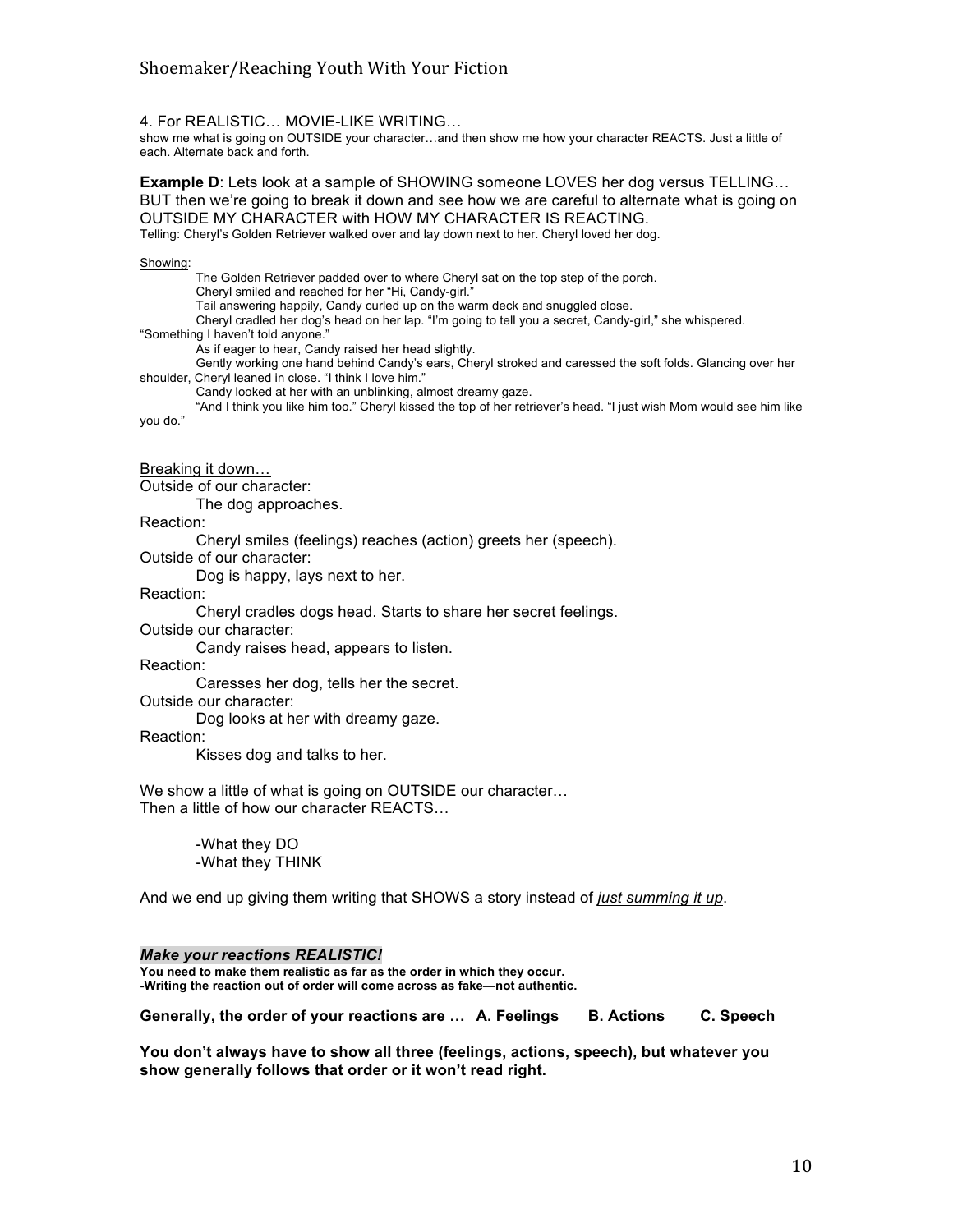4. For REALISTIC… MOVIE-LIKE WRITING…

show me what is going on OUTSIDE your character…and then show me how your character REACTS. Just a little of each. Alternate back and forth.

**Example D**: Lets look at a sample of SHOWING someone LOVES her dog versus TELLING… BUT then we're going to break it down and see how we are careful to alternate what is going on OUTSIDE MY CHARACTER with HOW MY CHARACTER IS REACTING.

Telling: Cheryl's Golden Retriever walked over and lay down next to her. Cheryl loved her dog.

#### Showing:

The Golden Retriever padded over to where Cheryl sat on the top step of the porch. Cheryl smiled and reached for her "Hi, Candy-girl." Tail answering happily, Candy curled up on the warm deck and snuggled close. Cheryl cradled her dog's head on her lap. "I'm going to tell you a secret, Candy-girl," she whispered.

"Something I haven't told anyone."

As if eager to hear, Candy raised her head slightly.

Gently working one hand behind Candy's ears, Cheryl stroked and caressed the soft folds. Glancing over her shoulder, Cheryl leaned in close. "I think I love him."

Candy looked at her with an unblinking, almost dreamy gaze.

"And I think you like him too." Cheryl kissed the top of her retriever's head. "I just wish Mom would see him like you do."

Breaking it down…

Outside of our character:

The dog approaches.

Reaction:

Cheryl smiles (feelings) reaches (action) greets her (speech).

Outside of our character:

Dog is happy, lays next to her.

Reaction:

Cheryl cradles dogs head. Starts to share her secret feelings.

Outside our character:

Candy raises head, appears to listen.

Reaction:

Caresses her dog, tells her the secret.

Outside our character:

Dog looks at her with dreamy gaze.

Reaction:

Kisses dog and talks to her.

We show a little of what is going on OUTSIDE our character… Then a little of how our character REACTS…

> -What they DO -What they THINK

And we end up giving them writing that SHOWS a story instead of *just summing it up*.

#### *Make your reactions REALISTIC!*

**You need to make them realistic as far as the order in which they occur. -Writing the reaction out of order will come across as fake—not authentic.**

**Generally, the order of your reactions are … A. Feelings B. Actions C. Speech**

**You don't always have to show all three (feelings, actions, speech), but whatever you show generally follows that order or it won't read right.**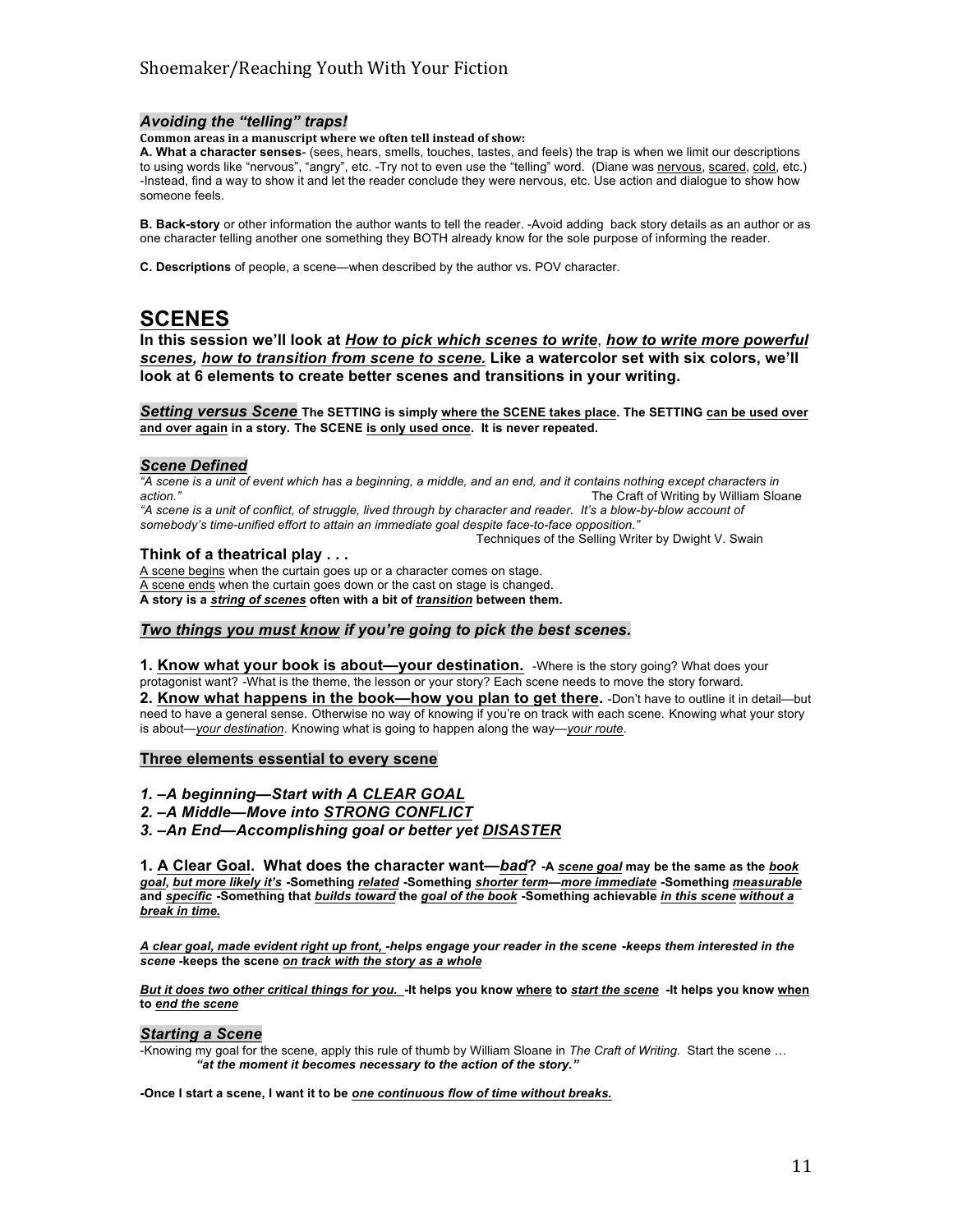#### *Avoiding the "telling" traps!*

#### **Common areas in a manuscript where we often tell instead of show:**

**A. What a character senses**- (sees, hears, smells, touches, tastes, and feels) the trap is when we limit our descriptions to using words like "nervous", "angry", etc. -Try not to even use the "telling" word. (Diane was nervous, scared, cold, etc.) -Instead, find a way to show it and let the reader conclude they were nervous, etc. Use action and dialogue to show how someone feels.

**B. Back-story** or other information the author wants to tell the reader. -Avoid adding back story details as an author or as one character telling another one something they BOTH already know for the sole purpose of informing the reader.

**C. Descriptions** of people, a scene—when described by the author vs. POV character.

# **SCENES**

**In this session we'll look at** *How to pick which scenes to write*, *how to write more powerful scenes, how to transition from scene to scene.* **Like a watercolor set with six colors, we'll look at 6 elements to create better scenes and transitions in your writing.**

*Setting versus Scene* **The SETTING is simply where the SCENE takes place. The SETTING can be used over and over again in a story. The SCENE is only used once. It is never repeated.** 

#### *Scene Defined*

*"A scene is a unit of event which has a beginning, a middle, and an end, and it contains nothing except characters in*  **action."** The Craft of Writing by William Sloane *"A scene is a unit of conflict, of struggle, lived through by character and reader. It's a blow-by-blow account of somebody's time-unified effort to attain an immediate goal despite face-to-face opposition."*  Techniques of the Selling Writer by Dwight V. Swain

#### **Think of a theatrical play . . .**

A scene begins when the curtain goes up or a character comes on stage. A scene ends when the curtain goes down or the cast on stage is changed. **A story is a** *string of scenes* **often with a bit of** *transition* **between them.**

#### *Two things you must know if you're going to pick the best scenes.*

1. Know what your book is about—your destination. -Where is the story going? What does your protagonist want? -What is the theme, the lesson or your story? Each scene needs to move the story forward. 2. Know what happens in the book—how you plan to get there. -Don't have to outline it in detail—but need to have a general sense. Otherwise no way of knowing if you're on track with each scene. Knowing what your story is about—*your destination*. Knowing what is going to happen along the way—*your route*.

#### **Three elements essential to every scene**

- *1. –A beginning—Start with A CLEAR GOAL*
- *2. –A Middle—Move into STRONG CONFLICT*
- *3. –An End—Accomplishing goal or better yet DISASTER*

**1. A Clear Goal. What does the character want—***bad***? -A** *scene goal* **may be the same as the** *book goal***,** *but more likely it's* **-Something** *related* **-Something** *shorter term***—***more immediate* **-Something** *measurable* **and** *specific* **-Something that** *builds toward* **the** *goal of the book* **-Something achievable** *in this scene without a break in time.*

*A clear goal, made evident right up front, -helps engage your reader in the scene -keeps them interested in the scene* **-keeps the scene** *on track with the story as a whole*

*But it does two other critical things for you.* **-It helps you know where to** *start the scene* **-It helps you know when to** *end the scene*

#### *Starting a Scene*

-Knowing my goal for the scene, apply this rule of thumb by William Sloane in *The Craft of Writing*. Start the scene … *"at the moment it becomes necessary to the action of the story."* 

**-Once I start a scene, I want it to be** *one continuous flow of time without breaks.*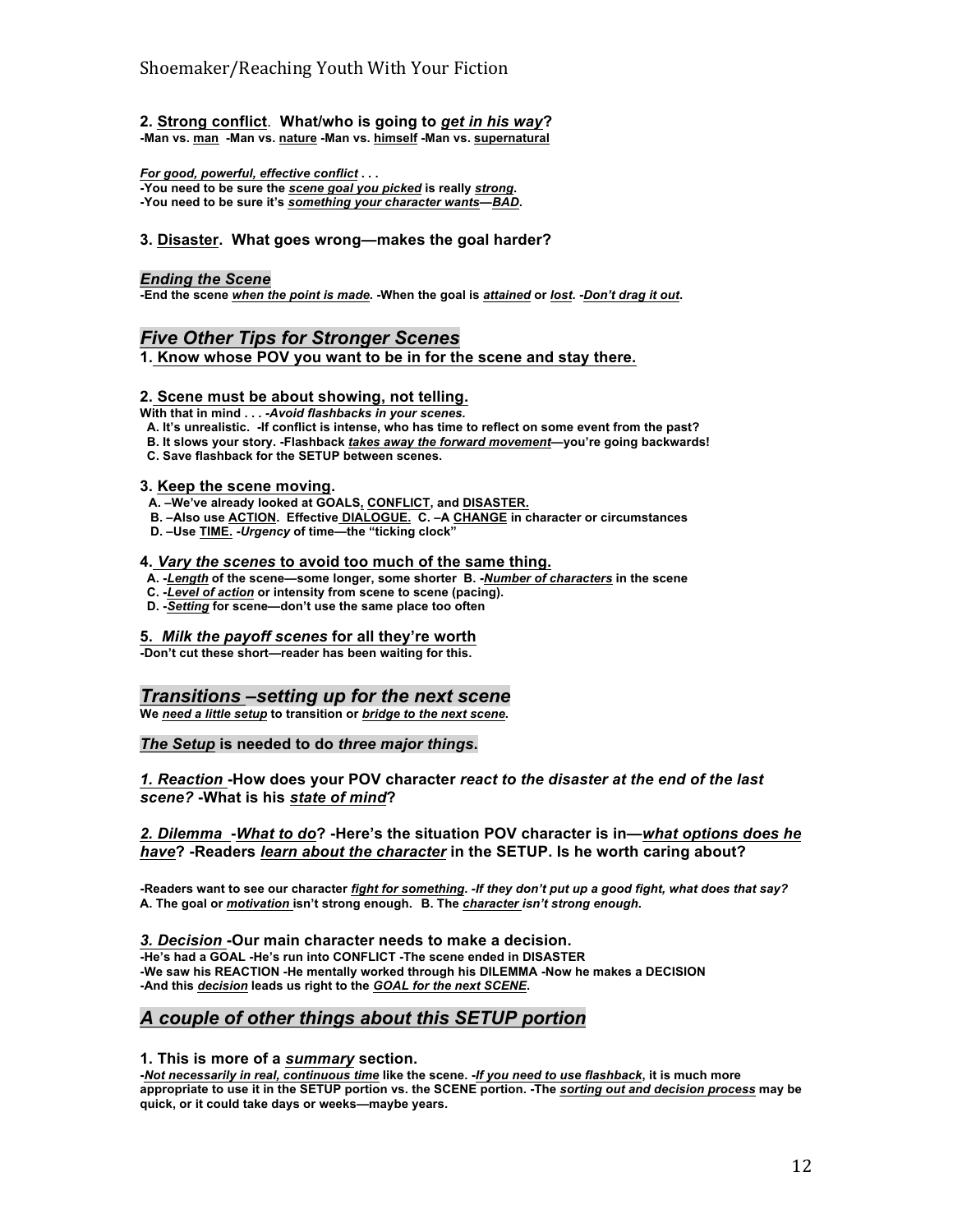**2. Strong conflict**. **What/who is going to** *get in his way***? -Man vs. man -Man vs. nature -Man vs. himself -Man vs. supernatural**

*For good, powerful, effective conflict* **. . . -You need to be sure the** *scene goal you picked* **is really** *strong***. -You need to be sure it's** *something your character wants***—***BAD***.**

#### **3. Disaster. What goes wrong—makes the goal harder?**

#### *Ending the Scene*

**-End the scene** *when the point is made***. -When the goal is** *attained* **or** *lost***. -***Don't drag it out***.** 

## *Five Other Tips for Stronger Scenes*

**1. Know whose POV you want to be in for the scene and stay there.**

#### **2. Scene must be about showing, not telling.**

**With that in mind . . .** *-Avoid flashbacks in your scenes.*

 **A. It's unrealistic. -If conflict is intense, who has time to reflect on some event from the past?**

- **B. It slows your story. -Flashback** *takes away the forward movement***—you're going backwards!**
- **C. Save flashback for the SETUP between scenes.**

#### **3. Keep the scene moving.**

- **A. –We've already looked at GOALS, CONFLICT, and DISASTER.**
- **B. –Also use ACTION. Effective DIALOGUE. C. –A CHANGE in character or circumstances**
- **D. –Use TIME. -***Urgency* **of time—the "ticking clock"**

#### **4.** *Vary the scenes* **to avoid too much of the same thing.**

- **A. -***Length* **of the scene—some longer, some shorter B. -***Number of characters* **in the scene**
- **C. -***Level of action* **or intensity from scene to scene (pacing).**
- **D. -***Setting* **for scene—don't use the same place too often**

#### **5.** *Milk the payoff scenes* **for all they're worth**

**-Don't cut these short—reader has been waiting for this.** 

## *Transitions –setting up for the next scene*

**We** *need a little setup* **to transition or** *bridge to the next scene***.**

#### *The Setup* **is needed to do** *three major things***.**

*1. Reaction* **-How does your POV character** *react to the disaster at the end of the last scene?* **-What is his** *state of mind***?**

#### *2. Dilemma* **-***What to do***? -Here's the situation POV character is in—***what options does he have***? -Readers** *learn about the character* **in the SETUP. Is he worth caring about?**

**-Readers want to see our character** *fight for something***.** *-If they don't put up a good fight, what does that say?* **A. The goal or** *motivation* **isn't strong enough. B. The** *character isn't strong enough***.**

*3. Decision* **-Our main character needs to make a decision. -He's had a GOAL -He's run into CONFLICT -The scene ended in DISASTER -We saw his REACTION -He mentally worked through his DILEMMA -Now he makes a DECISION -And this** *decision* **leads us right to the** *GOAL for the next SCENE***.** 

## *A couple of other things about this SETUP portion*

#### **1. This is more of a** *summary* **section.**

**-***Not necessarily in real, continuous time* **like the scene. -***If you need to use flashback***, it is much more appropriate to use it in the SETUP portion vs. the SCENE portion. -The** *sorting out and decision process* **may be quick, or it could take days or weeks—maybe years.**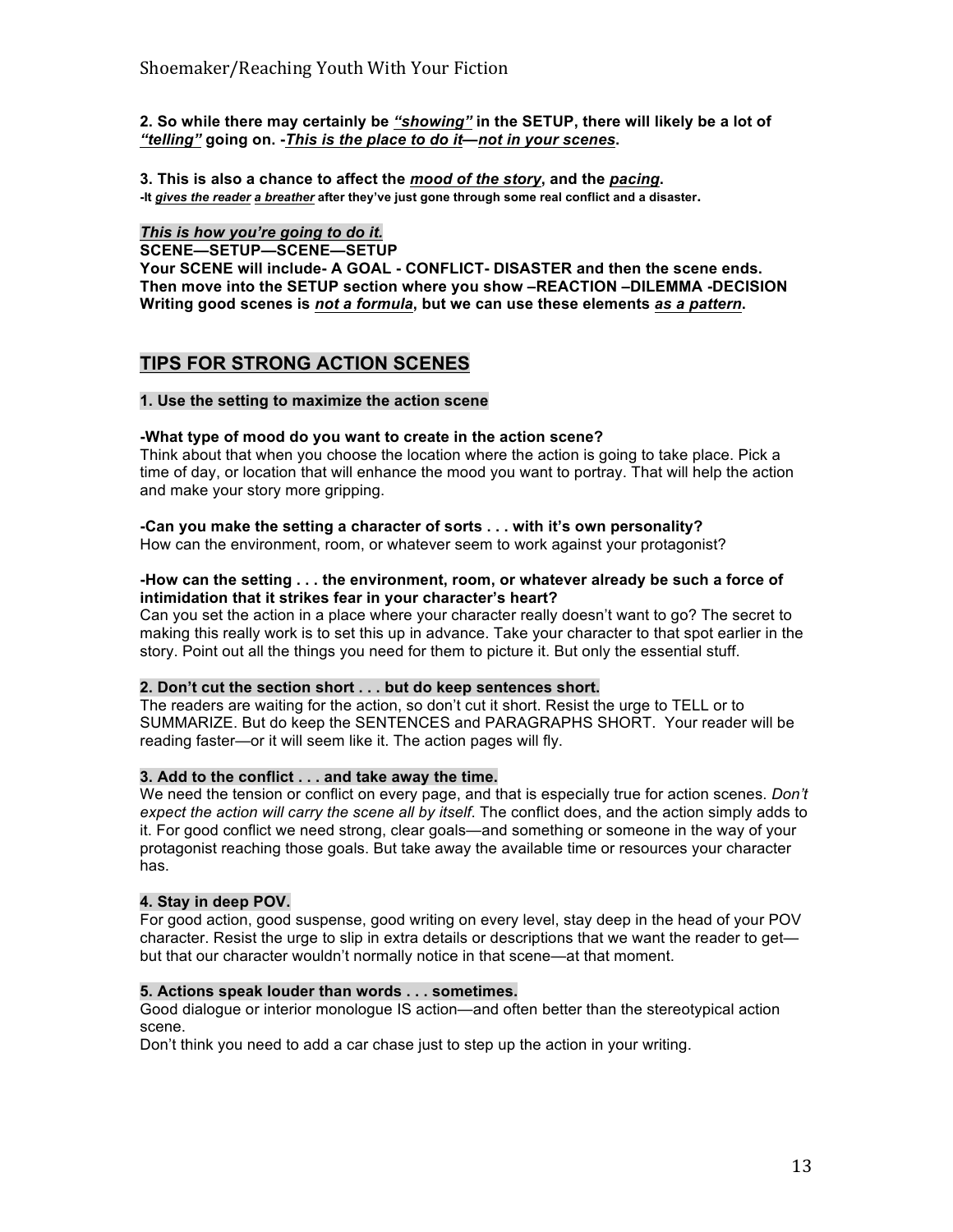## **2. So while there may certainly be** *"showing"* **in the SETUP, there will likely be a lot of**  *"telling"* **going on. -***This is the place to do it***—***not in your scenes***.**

**3. This is also a chance to affect the** *mood of the story***, and the** *pacing***. -It** *gives the reader a breather* **after they've just gone through some real conflict and a disaster.**

## *This is how you're going to do it.*

**SCENE—SETUP—SCENE—SETUP** 

**Your SCENE will include- A GOAL - CONFLICT- DISASTER and then the scene ends. Then move into the SETUP section where you show –REACTION –DILEMMA -DECISION Writing good scenes is** *not a formula***, but we can use these elements** *as a pattern***.**

## **TIPS FOR STRONG ACTION SCENES**

### **1. Use the setting to maximize the action scene**

## **-What type of mood do you want to create in the action scene?**

Think about that when you choose the location where the action is going to take place. Pick a time of day, or location that will enhance the mood you want to portray. That will help the action and make your story more gripping.

## **-Can you make the setting a character of sorts . . . with it's own personality?**

How can the environment, room, or whatever seem to work against your protagonist?

### **-How can the setting . . . the environment, room, or whatever already be such a force of intimidation that it strikes fear in your character's heart?**

Can you set the action in a place where your character really doesn't want to go? The secret to making this really work is to set this up in advance. Take your character to that spot earlier in the story. Point out all the things you need for them to picture it. But only the essential stuff.

## **2. Don't cut the section short . . . but do keep sentences short.**

The readers are waiting for the action, so don't cut it short. Resist the urge to TELL or to SUMMARIZE. But do keep the SENTENCES and PARAGRAPHS SHORT. Your reader will be reading faster—or it will seem like it. The action pages will fly.

### **3. Add to the conflict . . . and take away the time.**

We need the tension or conflict on every page, and that is especially true for action scenes. *Don't expect the action will carry the scene all by itself*. The conflict does, and the action simply adds to it. For good conflict we need strong, clear goals—and something or someone in the way of your protagonist reaching those goals. But take away the available time or resources your character has.

### **4. Stay in deep POV.**

For good action, good suspense, good writing on every level, stay deep in the head of your POV character. Resist the urge to slip in extra details or descriptions that we want the reader to get but that our character wouldn't normally notice in that scene—at that moment.

### **5. Actions speak louder than words . . . sometimes.**

Good dialogue or interior monologue IS action—and often better than the stereotypical action scene.

Don't think you need to add a car chase just to step up the action in your writing.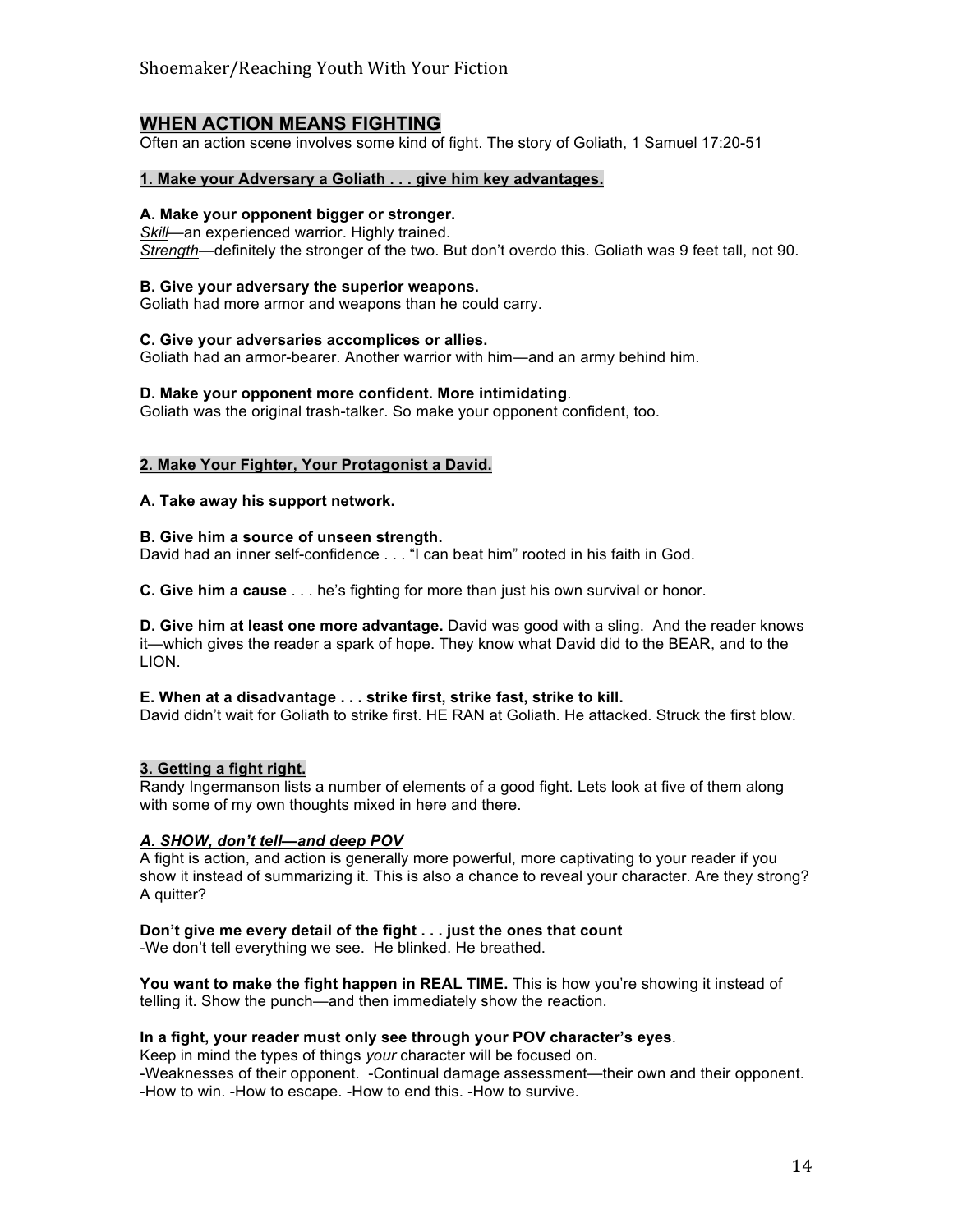## **WHEN ACTION MEANS FIGHTING**

Often an action scene involves some kind of fight. The story of Goliath, 1 Samuel 17:20-51

## **1. Make your Adversary a Goliath . . . give him key advantages.**

## **A. Make your opponent bigger or stronger.**

*Skill*—an experienced warrior. Highly trained. *Strength*—definitely the stronger of the two. But don't overdo this. Goliath was 9 feet tall, not 90.

#### **B. Give your adversary the superior weapons.**

Goliath had more armor and weapons than he could carry.

#### **C. Give your adversaries accomplices or allies.**

Goliath had an armor-bearer. Another warrior with him—and an army behind him.

#### **D. Make your opponent more confident. More intimidating**.

Goliath was the original trash-talker. So make your opponent confident, too.

### **2. Make Your Fighter, Your Protagonist a David.**

#### **A. Take away his support network.**

#### **B. Give him a source of unseen strength.**

David had an inner self-confidence . . . "I can beat him" rooted in his faith in God.

**C. Give him a cause** . . . he's fighting for more than just his own survival or honor.

**D. Give him at least one more advantage.** David was good with a sling. And the reader knows it—which gives the reader a spark of hope. They know what David did to the BEAR, and to the LION.

### **E. When at a disadvantage . . . strike first, strike fast, strike to kill.**

David didn't wait for Goliath to strike first. HE RAN at Goliath. He attacked. Struck the first blow.

### **3. Getting a fight right.**

Randy Ingermanson lists a number of elements of a good fight. Lets look at five of them along with some of my own thoughts mixed in here and there.

### *A. SHOW, don't tell—and deep POV*

A fight is action, and action is generally more powerful, more captivating to your reader if you show it instead of summarizing it. This is also a chance to reveal your character. Are they strong? A quitter?

### **Don't give me every detail of the fight . . . just the ones that count**

-We don't tell everything we see. He blinked. He breathed.

**You want to make the fight happen in REAL TIME.** This is how you're showing it instead of telling it. Show the punch—and then immediately show the reaction.

### **In a fight, your reader must only see through your POV character's eyes**.

Keep in mind the types of things *your* character will be focused on. -Weaknesses of their opponent. -Continual damage assessment—their own and their opponent. -How to win. -How to escape. -How to end this. -How to survive.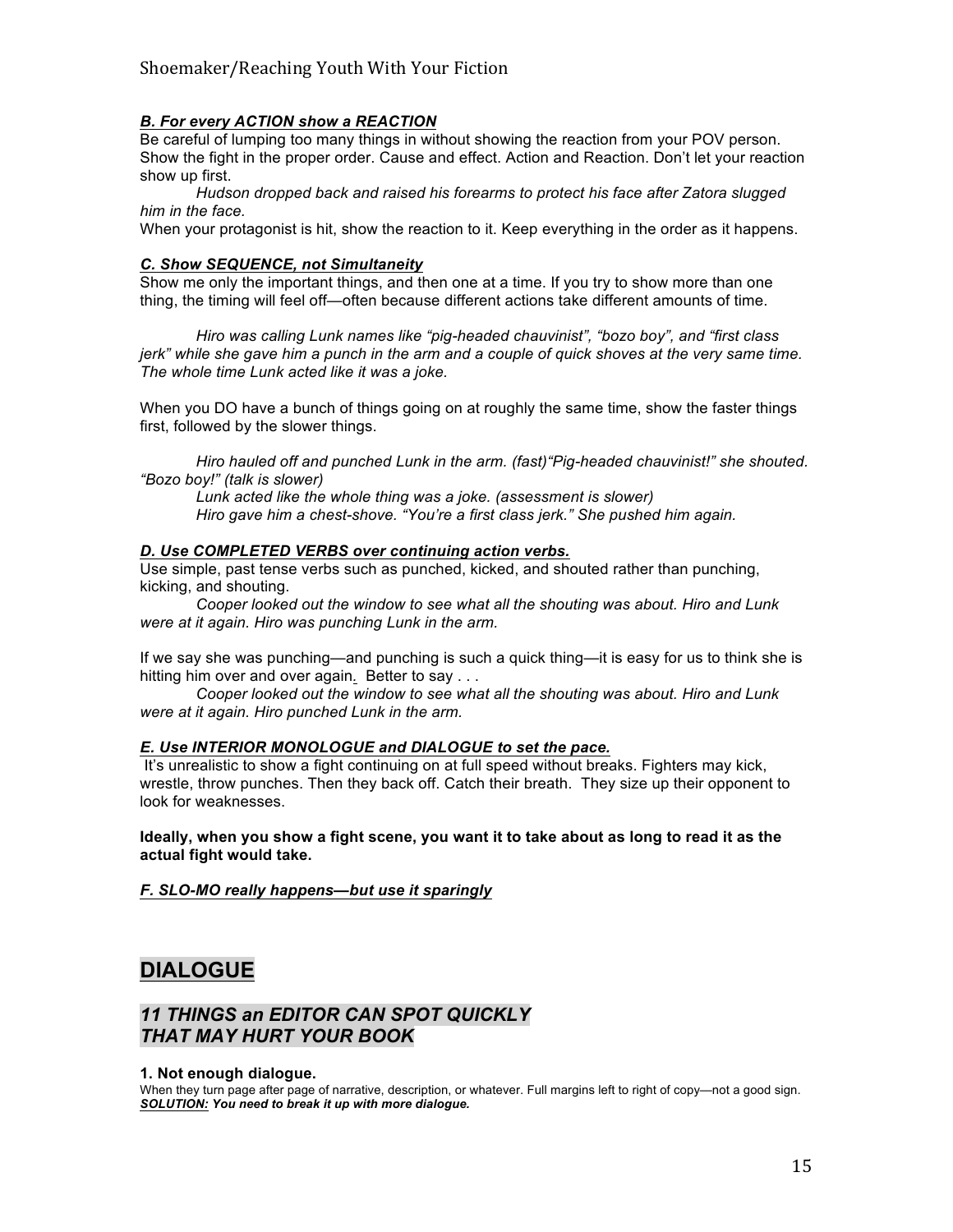## *B. For every ACTION show a REACTION*

Be careful of lumping too many things in without showing the reaction from your POV person. Show the fight in the proper order. Cause and effect. Action and Reaction. Don't let your reaction show up first.

*Hudson dropped back and raised his forearms to protect his face after Zatora slugged him in the face.* 

When your protagonist is hit, show the reaction to it. Keep everything in the order as it happens.

## *C. Show SEQUENCE, not Simultaneity*

Show me only the important things, and then one at a time. If you try to show more than one thing, the timing will feel off—often because different actions take different amounts of time.

*Hiro was calling Lunk names like "pig-headed chauvinist", "bozo boy", and "first class jerk" while she gave him a punch in the arm and a couple of quick shoves at the very same time. The whole time Lunk acted like it was a joke.*

When you DO have a bunch of things going on at roughly the same time, show the faster things first, followed by the slower things.

*Hiro hauled off and punched Lunk in the arm. (fast)"Pig-headed chauvinist!" she shouted. "Bozo boy!" (talk is slower)*

*Lunk acted like the whole thing was a joke. (assessment is slower) Hiro gave him a chest-shove. "You're a first class jerk." She pushed him again.*

### *D. Use COMPLETED VERBS over continuing action verbs.*

Use simple, past tense verbs such as punched, kicked, and shouted rather than punching, kicking, and shouting.

*Cooper looked out the window to see what all the shouting was about. Hiro and Lunk were at it again. Hiro was punching Lunk in the arm.*

If we say she was punching—and punching is such a quick thing—it is easy for us to think she is hitting him over and over again*.* Better to say . . .

*Cooper looked out the window to see what all the shouting was about. Hiro and Lunk were at it again. Hiro punched Lunk in the arm.*

### *E. Use INTERIOR MONOLOGUE and DIALOGUE to set the pace.*

It's unrealistic to show a fight continuing on at full speed without breaks. Fighters may kick, wrestle, throw punches. Then they back off. Catch their breath. They size up their opponent to look for weaknesses.

**Ideally, when you show a fight scene, you want it to take about as long to read it as the actual fight would take.**

*F. SLO-MO really happens—but use it sparingly* 

# **DIALOGUE**

## *11 THINGS an EDITOR CAN SPOT QUICKLY THAT MAY HURT YOUR BOOK*

### **1. Not enough dialogue.**

When they turn page after page of narrative, description, or whatever. Full margins left to right of copy—not a good sign. *SOLUTION: You need to break it up with more dialogue.*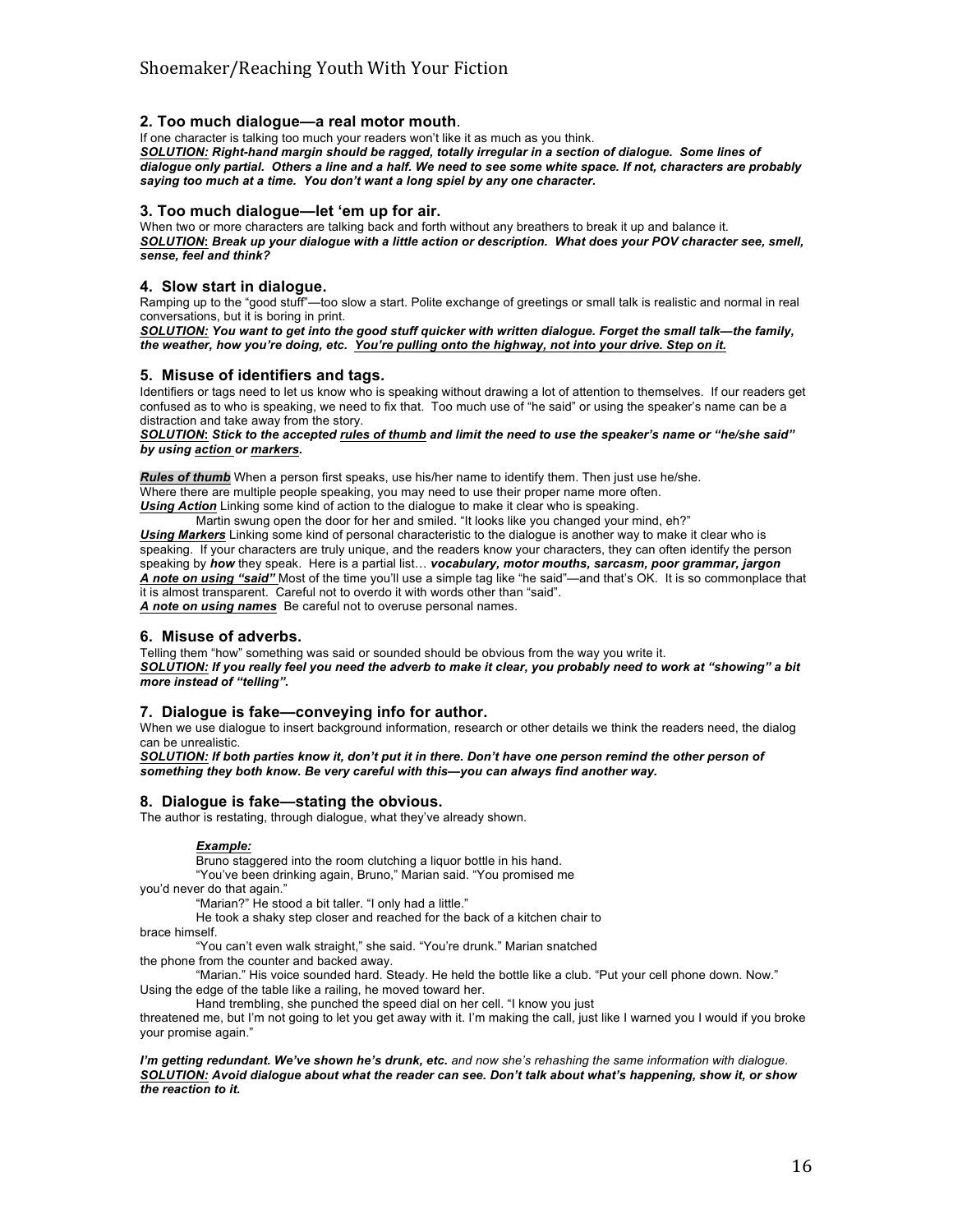#### **2. Too much dialogue—a real motor mouth**.

If one character is talking too much your readers won't like it as much as you think.

*SOLUTION: Right-hand margin should be ragged, totally irregular in a section of dialogue. Some lines of dialogue only partial. Others a line and a half. We need to see some white space. If not, characters are probably saying too much at a time. You don't want a long spiel by any one character.* 

#### **3. Too much dialogue—let 'em up for air.**

When two or more characters are talking back and forth without any breathers to break it up and balance it. *SOLUTION***:** *Break up your dialogue with a little action or description. What does your POV character see, smell, sense, feel and think?* 

#### **4. Slow start in dialogue.**

Ramping up to the "good stuff"—too slow a start. Polite exchange of greetings or small talk is realistic and normal in real conversations, but it is boring in print.

*SOLUTION: You want to get into the good stuff quicker with written dialogue. Forget the small talk—the family, the weather, how you're doing, etc. You're pulling onto the highway, not into your drive. Step on it.*

#### **5. Misuse of identifiers and tags.**

Identifiers or tags need to let us know who is speaking without drawing a lot of attention to themselves. If our readers get confused as to who is speaking, we need to fix that. Too much use of "he said" or using the speaker's name can be a distraction and take away from the story.

*SOLUTION***:** *Stick to the accepted rules of thumb and limit the need to use the speaker's name or "he/she said" by using action or markers.*

*Rules of thumb* When a person first speaks, use his/her name to identify them. Then just use he/she. Where there are multiple people speaking, you may need to use their proper name more often. *Using Action* Linking some kind of action to the dialogue to make it clear who is speaking.

Martin swung open the door for her and smiled. "It looks like you changed your mind, eh?" *Using Markers* Linking some kind of personal characteristic to the dialogue is another way to make it clear who is speaking. If your characters are truly unique, and the readers know your characters, they can often identify the person speaking by *how* they speak. Here is a partial list… *vocabulary, motor mouths, sarcasm, poor grammar, jargon A note on using "said"* Most of the time you'll use a simple tag like "he said"—and that's OK. It is so commonplace that it is almost transparent. Careful not to overdo it with words other than "said". *A note on using names* Be careful not to overuse personal names.

### **6. Misuse of adverbs.**

Telling them "how" something was said or sounded should be obvious from the way you write it. *SOLUTION: If you really feel you need the adverb to make it clear, you probably need to work at "showing" a bit more instead of "telling".* 

#### **7. Dialogue is fake—conveying info for author.**

When we use dialogue to insert background information, research or other details we think the readers need, the dialog can be unrealistic.

*SOLUTION: If both parties know it, don't put it in there. Don't have one person remind the other person of something they both know. Be very careful with this—you can always find another way.*

### **8. Dialogue is fake—stating the obvious.**

The author is restating, through dialogue, what they've already shown.

#### *Example:*

Bruno staggered into the room clutching a liquor bottle in his hand.

"You've been drinking again, Bruno," Marian said. "You promised me

you'd never do that again."

"Marian?" He stood a bit taller. "I only had a little."

He took a shaky step closer and reached for the back of a kitchen chair to

brace himself.

"You can't even walk straight," she said. "You're drunk." Marian snatched the phone from the counter and backed away.

"Marian." His voice sounded hard. Steady. He held the bottle like a club. "Put your cell phone down. Now." Using the edge of the table like a railing, he moved toward her.

Hand trembling, she punched the speed dial on her cell. "I know you just

threatened me, but I'm not going to let you get away with it. I'm making the call, just like I warned you I would if you broke your promise again."

*I'm getting redundant. We've shown he's drunk, etc. and now she's rehashing the same information with dialogue. SOLUTION: Avoid dialogue about what the reader can see. Don't talk about what's happening, show it, or show the reaction to it.*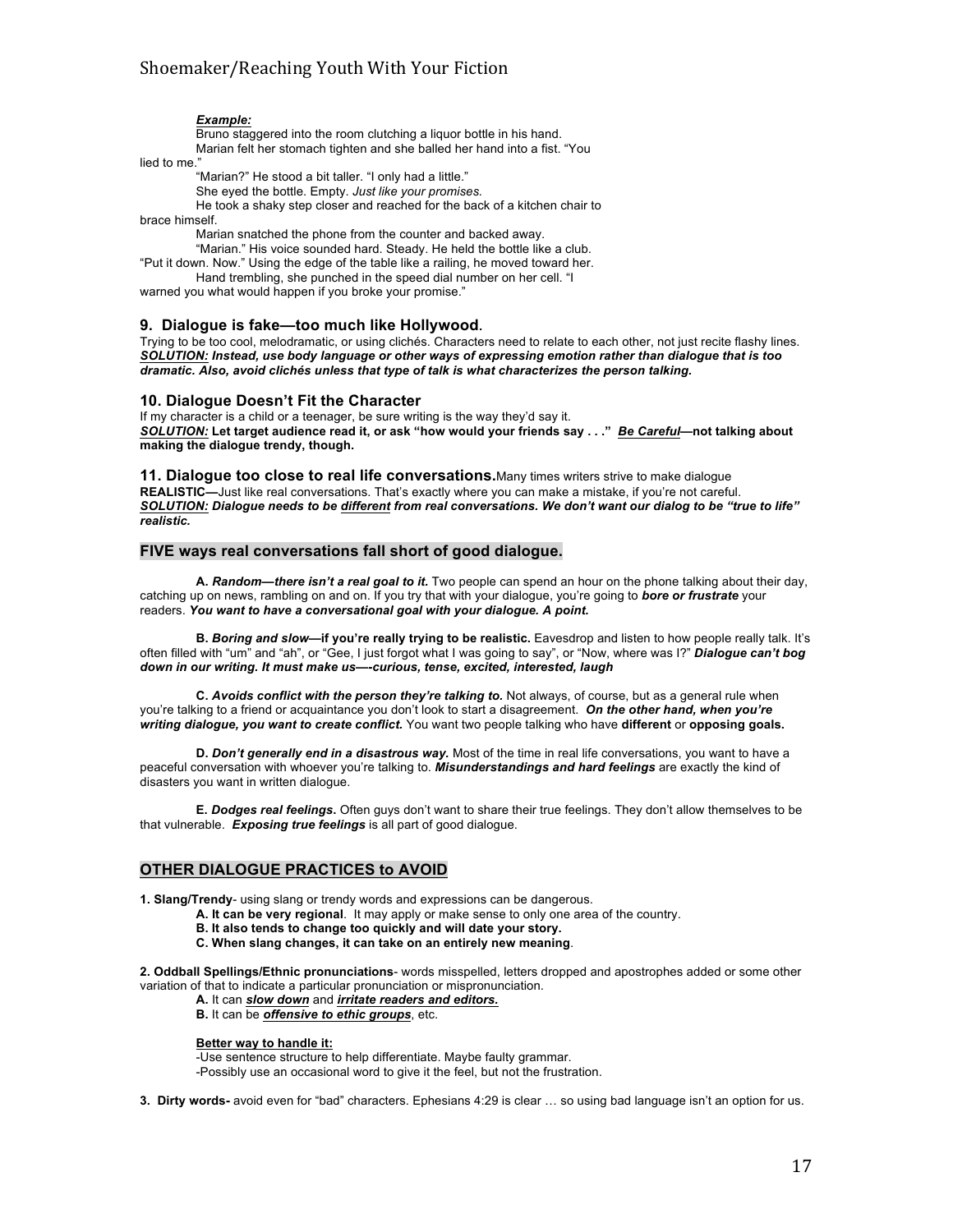#### *Example:*

Bruno staggered into the room clutching a liquor bottle in his hand. Marian felt her stomach tighten and she balled her hand into a fist. "You

lied to me."

"Marian?" He stood a bit taller. "I only had a little."

She eyed the bottle. Empty. *Just like your promises.*

He took a shaky step closer and reached for the back of a kitchen chair to

brace himself.

Marian snatched the phone from the counter and backed away.

"Marian." His voice sounded hard. Steady. He held the bottle like a club. "Put it down. Now." Using the edge of the table like a railing, he moved toward her.

Hand trembling, she punched in the speed dial number on her cell. "I

warned you what would happen if you broke your promise."

#### **9. Dialogue is fake—too much like Hollywood.**

Trying to be too cool, melodramatic, or using clichés. Characters need to relate to each other, not just recite flashy lines. *SOLUTION: Instead, use body language or other ways of expressing emotion rather than dialogue that is too dramatic. Also, avoid clichés unless that type of talk is what characterizes the person talking.*

#### **10. Dialogue Doesn't Fit the Character**

If my character is a child or a teenager, be sure writing is the way they'd say it. *SOLUTION:* **Let target audience read it, or ask "how would your friends say . . ."** *Be Careful***—not talking about making the dialogue trendy, though.**

**11. Dialogue too close to real life conversations.**Many times writers strive to make dialogue **REALISTIC—**Just like real conversations. That's exactly where you can make a mistake, if you're not careful. *SOLUTION: Dialogue needs to be different from real conversations. We don't want our dialog to be "true to life" realistic.* 

#### **FIVE ways real conversations fall short of good dialogue.**

**A.** *Random—there isn't a real goal to it.* Two people can spend an hour on the phone talking about their day, catching up on news, rambling on and on. If you try that with your dialogue, you're going to *bore or frustrate* your readers. *You want to have a conversational goal with your dialogue. A point.* 

**B.** *Boring and slow***—if you're really trying to be realistic.** Eavesdrop and listen to how people really talk. It's often filled with "um" and "ah", or "Gee, I just forgot what I was going to say", or "Now, where was I?" *Dialogue can't bog down in our writing. It must make us—-curious, tense, excited, interested, laugh*

**C.** *Avoids conflict with the person they're talking to.* Not always, of course, but as a general rule when you're talking to a friend or acquaintance you don't look to start a disagreement. *On the other hand, when you're writing dialogue, you want to create conflict.* You want two people talking who have **different** or **opposing goals.**

**D.** *Don't generally end in a disastrous way.* Most of the time in real life conversations, you want to have a peaceful conversation with whoever you're talking to. *Misunderstandings and hard feelings* are exactly the kind of disasters you want in written dialogue.

**E.** *Dodges real feelings***.** Often guys don't want to share their true feelings. They don't allow themselves to be that vulnerable. *Exposing true feelings* is all part of good dialogue.

#### **OTHER DIALOGUE PRACTICES to AVOID**

**1. Slang/Trendy**- using slang or trendy words and expressions can be dangerous.

**A. It can be very regional**. It may apply or make sense to only one area of the country.

**B. It also tends to change too quickly and will date your story.**

**C. When slang changes, it can take on an entirely new meaning**.

**2. Oddball Spellings/Ethnic pronunciations**- words misspelled, letters dropped and apostrophes added or some other variation of that to indicate a particular pronunciation or mispronunciation.

**A.** It can *slow down* and *irritate readers and editors.*

**B.** It can be *offensive to ethic groups*, etc.

#### **Better way to handle it:**

-Use sentence structure to help differentiate. Maybe faulty grammar. -Possibly use an occasional word to give it the feel, but not the frustration.

**3. Dirty words-** avoid even for "bad" characters. Ephesians 4:29 is clear … so using bad language isn't an option for us.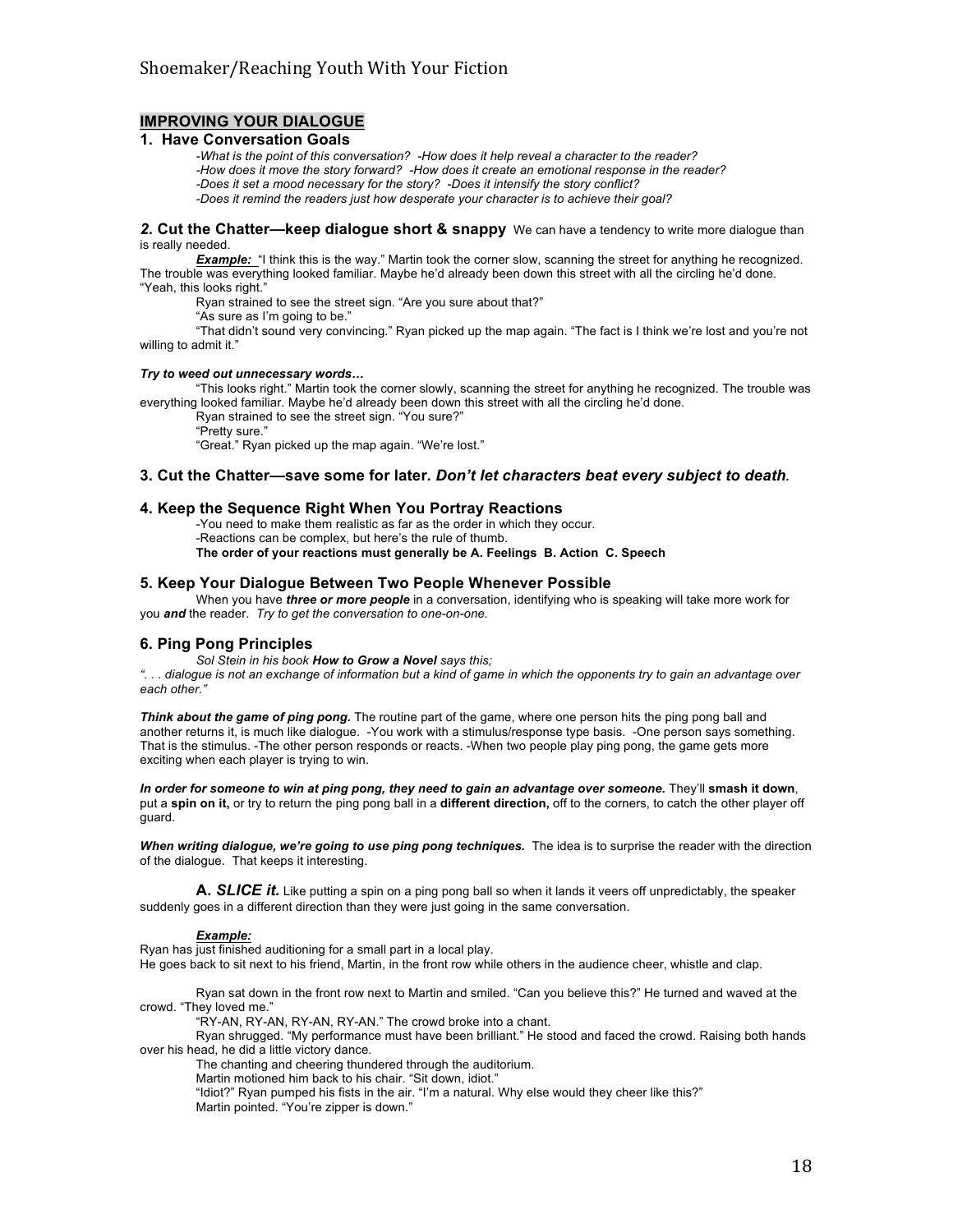### **IMPROVING YOUR DIALOGUE**

#### **1. Have Conversation Goals**

*-What is the point of this conversation? -How does it help reveal a character to the reader? -How does it move the story forward? -How does it create an emotional response in the reader? -Does it set a mood necessary for the story? -Does it intensify the story conflict? -Does it remind the readers just how desperate your character is to achieve their goal?*

**2. Cut the Chatter—keep dialogue short & snappy** We can have a tendency to write more dialogue than is really needed.

**Example:** "I think this is the way." Martin took the corner slow, scanning the street for anything he recognized. The trouble was everything looked familiar. Maybe he'd already been down this street with all the circling he'd done. "Yeah, this looks right."

Ryan strained to see the street sign. "Are you sure about that?"

"As sure as I'm going to be."

"That didn't sound very convincing." Ryan picked up the map again. "The fact is I think we're lost and you're not willing to admit it."

#### *Try to weed out unnecessary words…*

"This looks right." Martin took the corner slowly, scanning the street for anything he recognized. The trouble was everything looked familiar. Maybe he'd already been down this street with all the circling he'd done.

Ryan strained to see the street sign. "You sure?"

"Pretty sure."

"Great." Ryan picked up the map again. "We're lost."

#### **3. Cut the Chatter—save some for later***. Don't let characters beat every subject to death.*

#### **4. Keep the Sequence Right When You Portray Reactions**

-You need to make them realistic as far as the order in which they occur. -Reactions can be complex, but here's the rule of thumb. **The order of your reactions must generally be A. Feelings B. Action C. Speech**

#### **5. Keep Your Dialogue Between Two People Whenever Possible**

When you have *three or more people* in a conversation, identifying who is speaking will take more work for you *and* the reader. *Try to get the conversation to one-on-one.* 

#### **6. Ping Pong Principles**

*Sol Stein in his book How to Grow a Novel says this;*

*". . . dialogue is not an exchange of information but a kind of game in which the opponents try to gain an advantage over each other."*

*Think about the game of ping pong.* The routine part of the game, where one person hits the ping pong ball and another returns it, is much like dialogue. -You work with a stimulus/response type basis. -One person says something. That is the stimulus. -The other person responds or reacts. -When two people play ping pong, the game gets more exciting when each player is trying to win.

*In order for someone to win at ping pong, they need to gain an advantage over someone.* They'll **smash it down**, put a **spin on it,** or try to return the ping pong ball in a **different direction,** off to the corners, to catch the other player off guard.

*When writing dialogue, we're going to use ping pong techniques.* The idea is to surprise the reader with the direction of the dialogue. That keeps it interesting.

**A.** *SLICE it.* Like putting a spin on a ping pong ball so when it lands it veers off unpredictably, the speaker suddenly goes in a different direction than they were just going in the same conversation.

#### *Example:*

Ryan has just finished auditioning for a small part in a local play.

He goes back to sit next to his friend, Martin, in the front row while others in the audience cheer, whistle and clap.

Ryan sat down in the front row next to Martin and smiled. "Can you believe this?" He turned and waved at the crowd. "They loved me."

"RY-AN, RY-AN, RY-AN, RY-AN." The crowd broke into a chant.

Ryan shrugged. "My performance must have been brilliant." He stood and faced the crowd. Raising both hands over his head, he did a little victory dance.

The chanting and cheering thundered through the auditorium.

Martin motioned him back to his chair. "Sit down, idiot."

"Idiot?" Ryan pumped his fists in the air. "I'm a natural. Why else would they cheer like this?" Martin pointed. "You're zipper is down."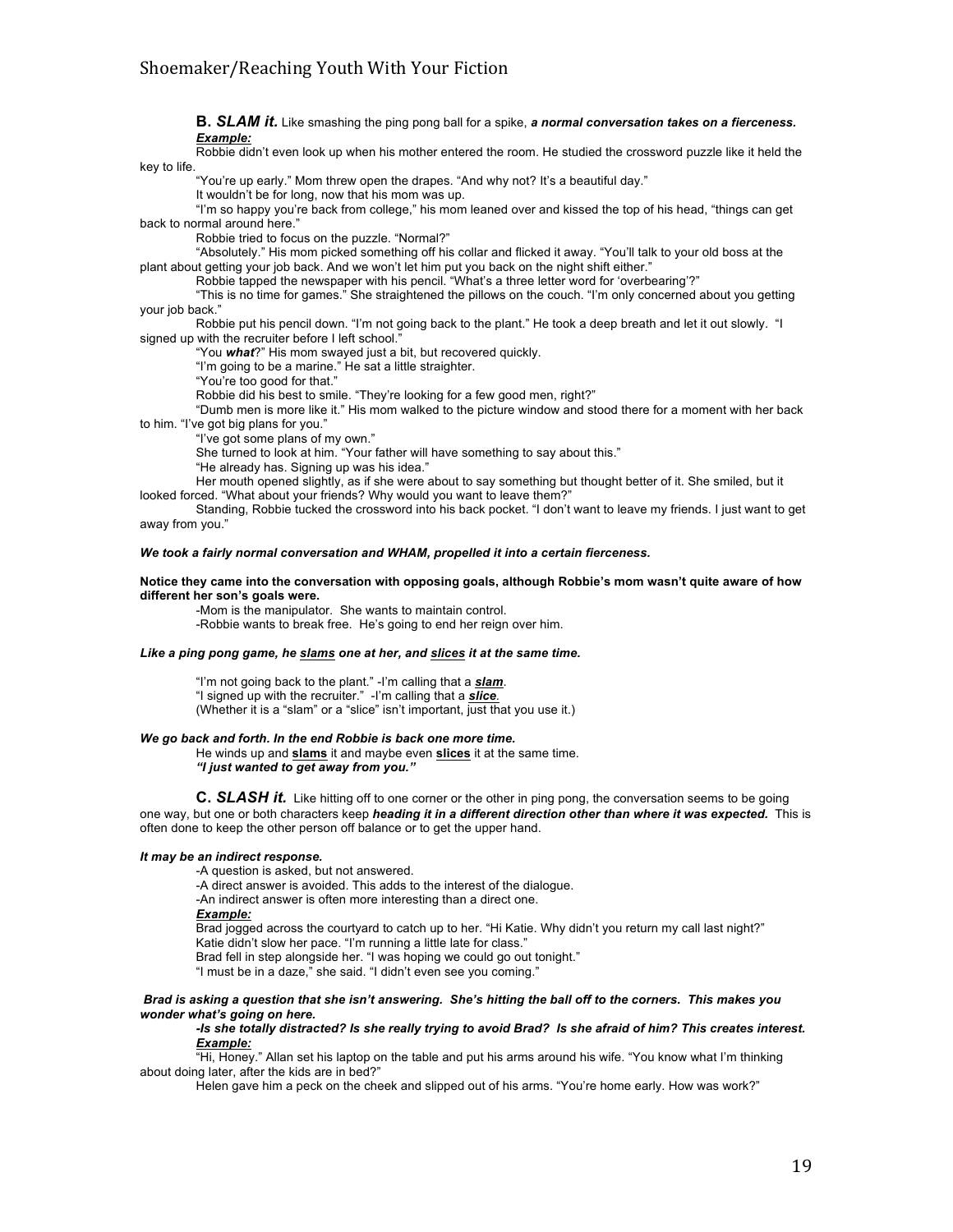**B.** *SLAM it.* Like smashing the ping pong ball for a spike, *a normal conversation takes on a fierceness. Example:*

Robbie didn't even look up when his mother entered the room. He studied the crossword puzzle like it held the key to life.

"You're up early." Mom threw open the drapes. "And why not? It's a beautiful day."

It wouldn't be for long, now that his mom was up.

"I'm so happy you're back from college," his mom leaned over and kissed the top of his head, "things can get back to normal around here."

Robbie tried to focus on the puzzle. "Normal?"

"Absolutely." His mom picked something off his collar and flicked it away. "You'll talk to your old boss at the plant about getting your job back. And we won't let him put you back on the night shift either."

Robbie tapped the newspaper with his pencil. "What's a three letter word for 'overbearing'?"

"This is no time for games." She straightened the pillows on the couch. "I'm only concerned about you getting your job back."

Robbie put his pencil down. "I'm not going back to the plant." He took a deep breath and let it out slowly. "I signed up with the recruiter before I left school."

"You *what*?" His mom swayed just a bit, but recovered quickly.

"I'm going to be a marine." He sat a little straighter.

"You're too good for that."

Robbie did his best to smile. "They're looking for a few good men, right?"

"Dumb men is more like it." His mom walked to the picture window and stood there for a moment with her back to him. "I've got big plans for you."

"I've got some plans of my own."

She turned to look at him. "Your father will have something to say about this."

"He already has. Signing up was his idea."

Her mouth opened slightly, as if she were about to say something but thought better of it. She smiled, but it looked forced. "What about your friends? Why would you want to leave them?"

Standing, Robbie tucked the crossword into his back pocket. "I don't want to leave my friends. I just want to get away from you."

#### *We took a fairly normal conversation and WHAM, propelled it into a certain fierceness.*

#### **Notice they came into the conversation with opposing goals, although Robbie's mom wasn't quite aware of how different her son's goals were.**

-Mom is the manipulator. She wants to maintain control. -Robbie wants to break free. He's going to end her reign over him.

*Like a ping pong game, he slams one at her, and slices it at the same time.* 

"I'm not going back to the plant." -I'm calling that a *slam*. "I signed up with the recruiter." -I'm calling that a *slice.* (Whether it is a "slam" or a "slice" isn't important, just that you use it.)

#### *We go back and forth. In the end Robbie is back one more time.*

He winds up and **slams** it and maybe even **slices** it at the same time. *"I just wanted to get away from you."*

**C.** *SLASH it.* Like hitting off to one corner or the other in ping pong, the conversation seems to be going one way, but one or both characters keep *heading it in a different direction other than where it was expected.* This is often done to keep the other person off balance or to get the upper hand.

#### *It may be an indirect response.*

-A question is asked, but not answered.

-A direct answer is avoided. This adds to the interest of the dialogue.

-An indirect answer is often more interesting than a direct one.

#### *Example:*

Brad jogged across the courtyard to catch up to her. "Hi Katie. Why didn't you return my call last night?"

Katie didn't slow her pace. "I'm running a little late for class." Brad fell in step alongside her. "I was hoping we could go out tonight."

"I must be in a daze," she said. "I didn't even see you coming."

#### *Brad is asking a question that she isn't answering. She's hitting the ball off to the corners. This makes you wonder what's going on here.*

#### *-Is she totally distracted? Is she really trying to avoid Brad? Is she afraid of him? This creates interest. Example:*

"Hi, Honey." Allan set his laptop on the table and put his arms around his wife. "You know what I'm thinking about doing later, after the kids are in bed?"

Helen gave him a peck on the cheek and slipped out of his arms. "You're home early. How was work?"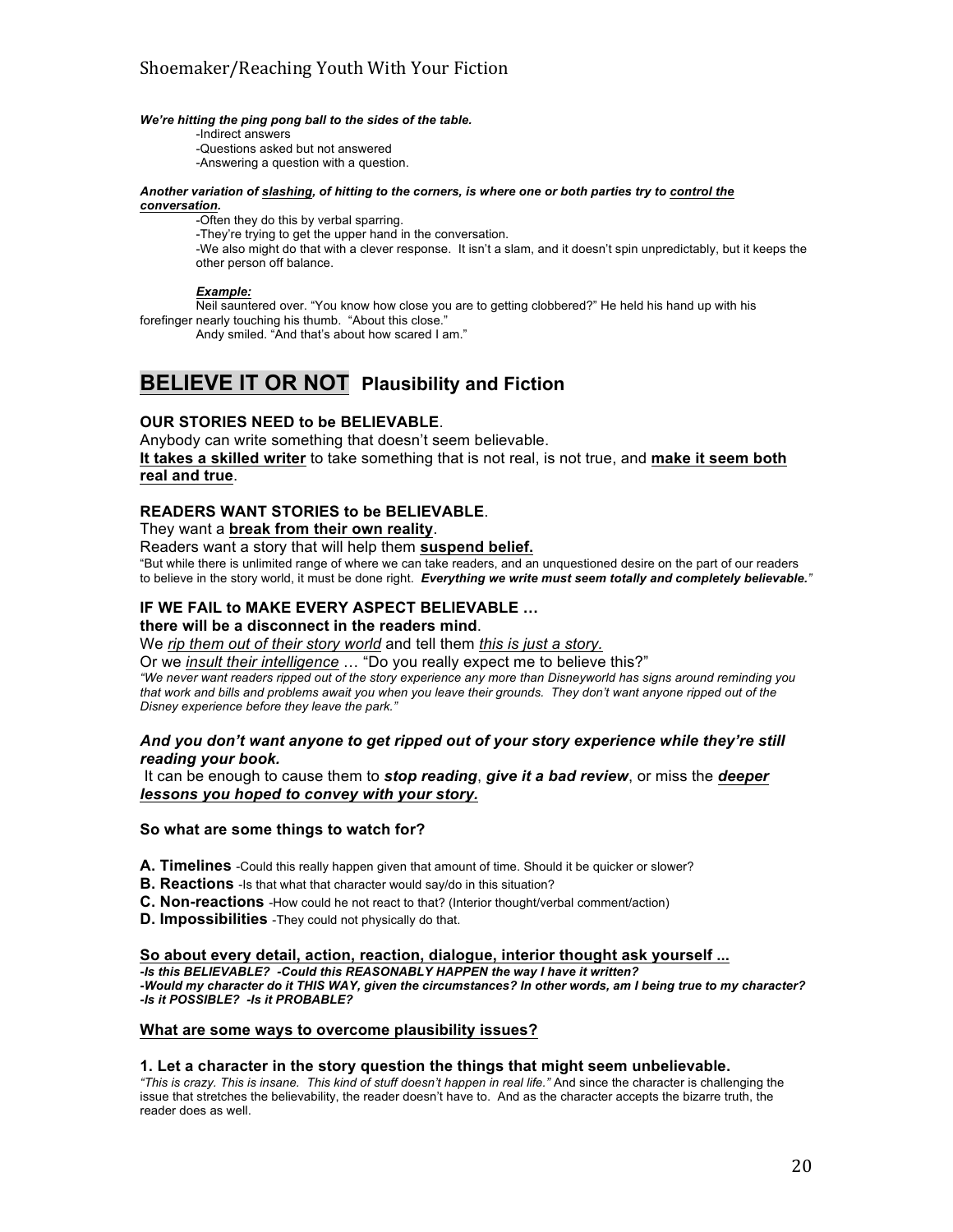#### *We're hitting the ping pong ball to the sides of the table.*

-Indirect answers -Questions asked but not answered -Answering a question with a question.

#### *Another variation of slashing, of hitting to the corners, is where one or both parties try to control the conversation.*

-Often they do this by verbal sparring.

-They're trying to get the upper hand in the conversation.

-We also might do that with a clever response. It isn't a slam, and it doesn't spin unpredictably, but it keeps the other person off balance.

#### *Example:*

Neil sauntered over. "You know how close you are to getting clobbered?" He held his hand up with his forefinger nearly touching his thumb. "About this close."

Andy smiled. "And that's about how scared I am."

# **BELIEVE IT OR NOT Plausibility and Fiction**

## **OUR STORIES NEED to be BELIEVABLE**.

Anybody can write something that doesn't seem believable. **It takes a skilled writer** to take something that is not real, is not true, and **make it seem both real and true**.

#### **READERS WANT STORIES to be BELIEVABLE**.

#### They want a **break from their own reality**.

Readers want a story that will help them **suspend belief.**

"But while there is unlimited range of where we can take readers, and an unquestioned desire on the part of our readers to believe in the story world, it must be done right. *Everything we write must seem totally and completely believable."*

## **IF WE FAIL to MAKE EVERY ASPECT BELIEVABLE …**

## **there will be a disconnect in the readers mind**.

We *rip them out of their story world* and tell them *this is just a story.*

Or we *insult their intelligence* … "Do you really expect me to believe this?"

*"We never want readers ripped out of the story experience any more than Disneyworld has signs around reminding you that work and bills and problems await you when you leave their grounds. They don't want anyone ripped out of the Disney experience before they leave the park."*

#### *And you don't want anyone to get ripped out of your story experience while they're still reading your book.*

It can be enough to cause them to *stop reading*, *give it a bad review*, or miss the *deeper lessons you hoped to convey with your story.*

#### **So what are some things to watch for?**

- **A. Timelines** -Could this really happen given that amount of time. Should it be quicker or slower?
- **B. Reactions** Is that what that character would say/do in this situation?
- **C. Non-reactions** -How could he not react to that? (Interior thought/verbal comment/action)
- **D. Impossibilities** -They could not physically do that.

**So about every detail, action, reaction, dialogue, interior thought ask yourself ...** 

*-Is this BELIEVABLE? -Could this REASONABLY HAPPEN the way I have it written?*

*-Would my character do it THIS WAY, given the circumstances? In other words, am I being true to my character? -Is it POSSIBLE? -Is it PROBABLE?* 

#### **What are some ways to overcome plausibility issues?**

#### **1. Let a character in the story question the things that might seem unbelievable.**

*"This is crazy. This is insane. This kind of stuff doesn't happen in real life."* And since the character is challenging the issue that stretches the believability, the reader doesn't have to. And as the character accepts the bizarre truth, the reader does as well.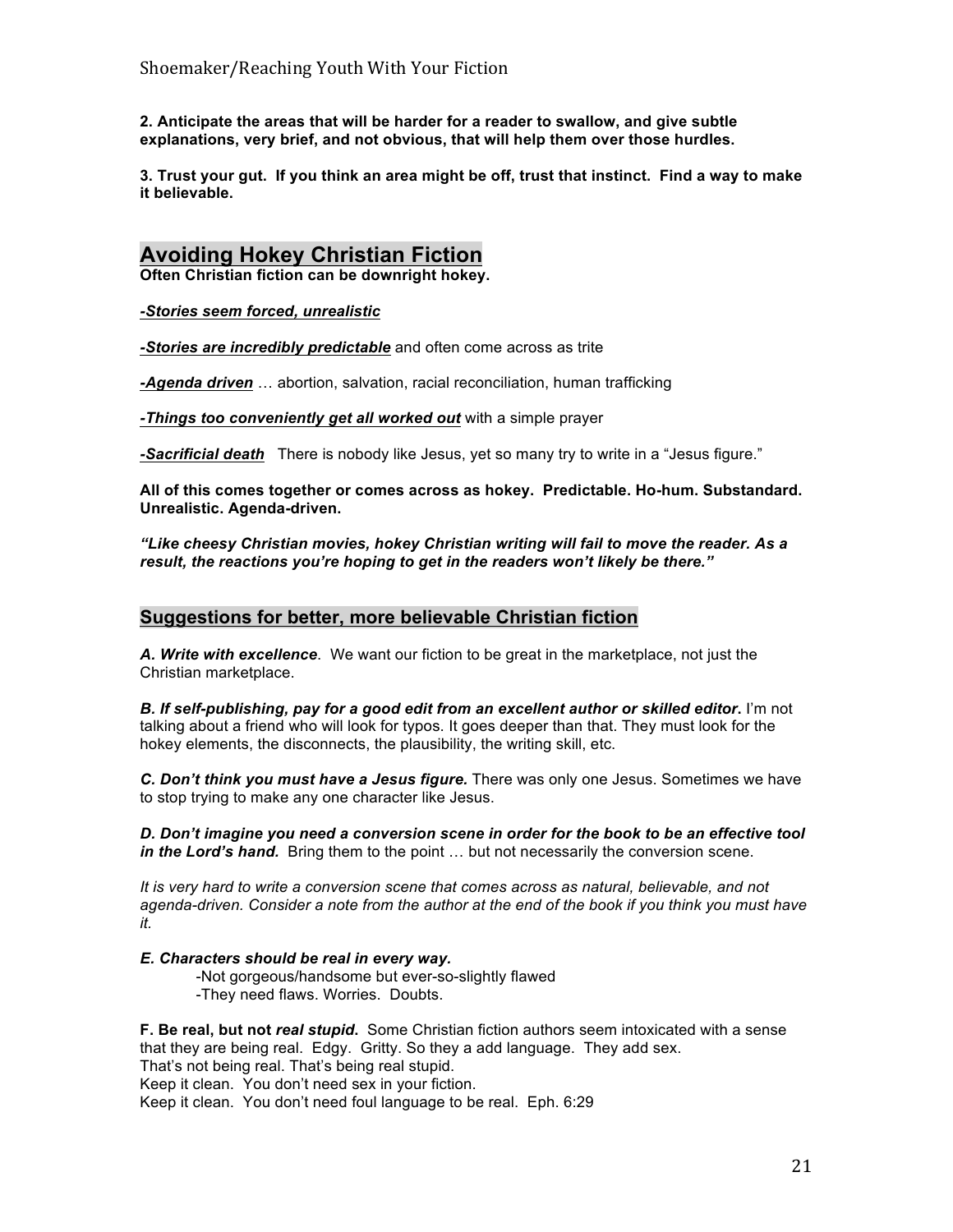**2. Anticipate the areas that will be harder for a reader to swallow, and give subtle explanations, very brief, and not obvious, that will help them over those hurdles.**

**3. Trust your gut. If you think an area might be off, trust that instinct. Find a way to make it believable.**

# **Avoiding Hokey Christian Fiction**

**Often Christian fiction can be downright hokey.**

*-Stories seem forced, unrealistic*

*-Stories are incredibly predictable* and often come across as trite

*-Agenda driven* … abortion, salvation, racial reconciliation, human trafficking

*-Things too conveniently get all worked out* with a simple prayer

*-Sacrificial death*There is nobody like Jesus, yet so many try to write in a "Jesus figure."

**All of this comes together or comes across as hokey. Predictable. Ho-hum. Substandard. Unrealistic. Agenda-driven.** 

*"Like cheesy Christian movies, hokey Christian writing will fail to move the reader. As a result, the reactions you're hoping to get in the readers won't likely be there."*

## **Suggestions for better, more believable Christian fiction**

*A. Write with excellence*. We want our fiction to be great in the marketplace, not just the Christian marketplace.

*B. If self-publishing, pay for a good edit from an excellent author or skilled editor***.** I'm not talking about a friend who will look for typos. It goes deeper than that. They must look for the hokey elements, the disconnects, the plausibility, the writing skill, etc.

*C. Don't think you must have a Jesus figure.* There was only one Jesus. Sometimes we have to stop trying to make any one character like Jesus.

*D. Don't imagine you need a conversion scene in order for the book to be an effective tool in the Lord's hand.* Bring them to the point … but not necessarily the conversion scene.

*It is very hard to write a conversion scene that comes across as natural, believable, and not*  agenda-driven. Consider a note from the author at the end of the book if you think you must have *it.*

### *E. Characters should be real in every way.*

-Not gorgeous/handsome but ever-so-slightly flawed -They need flaws. Worries. Doubts.

**F. Be real, but not** *real stupid***.** Some Christian fiction authors seem intoxicated with a sense that they are being real. Edgy. Gritty. So they a add language. They add sex. That's not being real. That's being real stupid. Keep it clean. You don't need sex in your fiction. Keep it clean. You don't need foul language to be real. Eph. 6:29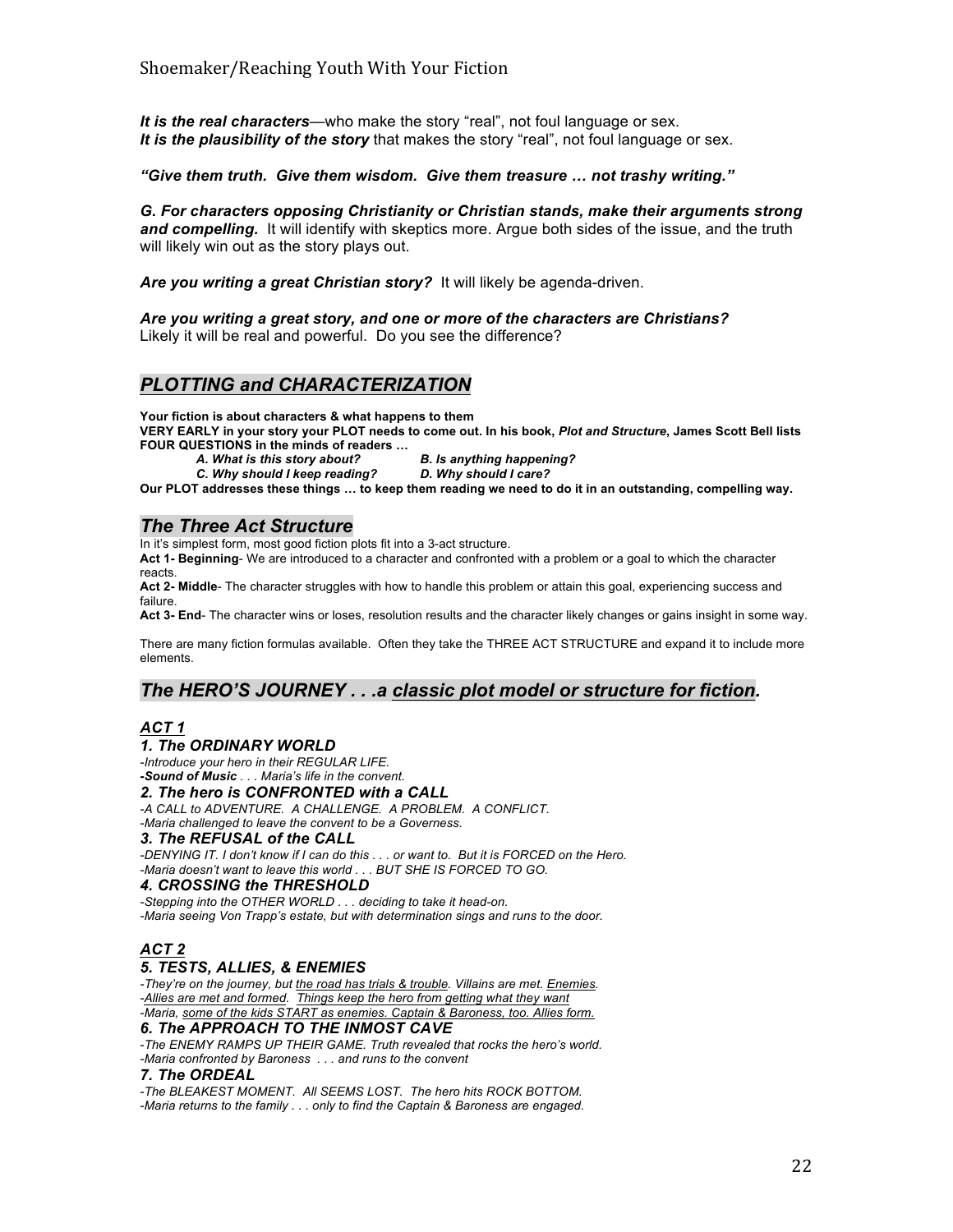*It is the real characters*—who make the story "real", not foul language or sex. *It is the plausibility of the story* that makes the story "real", not foul language or sex.

*"Give them truth. Give them wisdom. Give them treasure … not trashy writing."*

*G. For characters opposing Christianity or Christian stands, make their arguments strong and compelling.* It will identify with skeptics more. Argue both sides of the issue, and the truth will likely win out as the story plays out.

*Are you writing a great Christian story?* It will likely be agenda-driven.

*Are you writing a great story, and one or more of the characters are Christians?* Likely it will be real and powerful. Do you see the difference?

*PLOTTING and CHARACTERIZATION*

**Your fiction is about characters & what happens to them**

**VERY EARLY in your story your PLOT needs to come out. In his book,** *Plot and Structure***, James Scott Bell lists FOUR QUESTIONS in the minds of readers …**

- -

*A. What is this story about? B. Is anything happening? C. Why should I keep reading? D. Why should I care?*

**Our PLOT addresses these things … to keep them reading we need to do it in an outstanding, compelling way.**

## *The Three Act Structure*

In it's simplest form, most good fiction plots fit into a 3-act structure.

**Act 1- Beginning**- We are introduced to a character and confronted with a problem or a goal to which the character reacts.

**Act 2- Middle**- The character struggles with how to handle this problem or attain this goal, experiencing success and failure.

**Act 3- End**- The character wins or loses, resolution results and the character likely changes or gains insight in some way.

There are many fiction formulas available. Often they take the THREE ACT STRUCTURE and expand it to include more elements.

## *The HERO'S JOURNEY . . .a classic plot model or structure for fiction.*

## *ACT 1*

#### *1. The ORDINARY WORLD*

*-Introduce your hero in their REGULAR LIFE. -Sound of Music . . . Maria's life in the convent.*

#### *2. The hero is CONFRONTED with a CALL*

*-A CALL to ADVENTURE. A CHALLENGE. A PROBLEM. A CONFLICT. -Maria challenged to leave the convent to be a Governess.*

#### *3. The REFUSAL of the CALL*

*-DENYING IT. I don't know if I can do this . . . or want to. But it is FORCED on the Hero. -Maria doesn't want to leave this world . . . BUT SHE IS FORCED TO GO.*

#### *4. CROSSING the THRESHOLD*

*-Stepping into the OTHER WORLD . . . deciding to take it head-on. -Maria seeing Von Trapp's estate, but with determination sings and runs to the door.*

## *ACT 2*

### *5. TESTS, ALLIES, & ENEMIES*

*-They're on the journey, but the road has trials & trouble. Villains are met. Enemies. -Allies are met and formed. Things keep the hero from getting what they want -Maria, some of the kids START as enemies. Captain & Baroness, too. Allies form.*

## *6. The APPROACH TO THE INMOST CAVE*

*-The ENEMY RAMPS UP THEIR GAME. Truth revealed that rocks the hero's world. -Maria confronted by Baroness . . . and runs to the convent*

#### *7. The ORDEAL*

*-The BLEAKEST MOMENT. All SEEMS LOST. The hero hits ROCK BOTTOM. -Maria returns to the family . . . only to find the Captain & Baroness are engaged.*